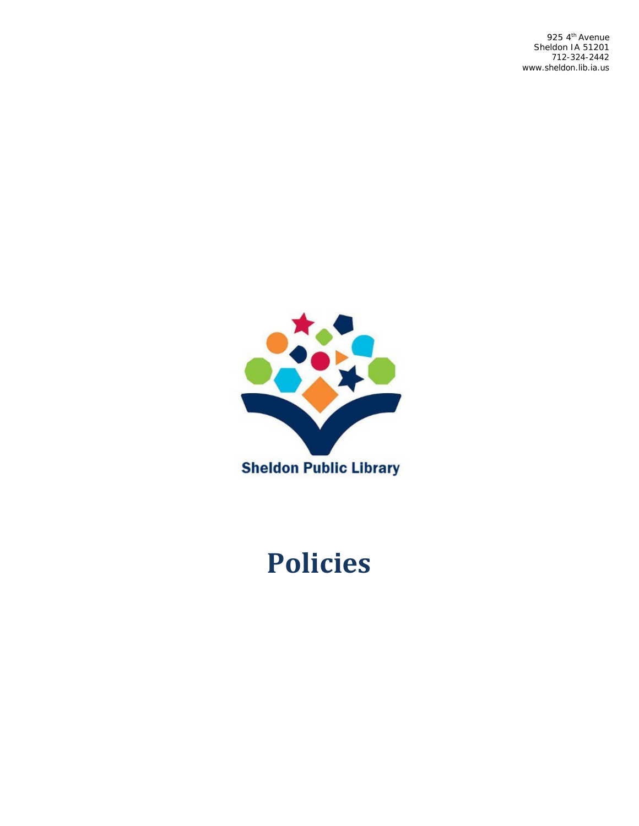925 4<sup>th</sup> Avenue Sheldon IA 51201 712-324-2442 [www.sheldon.lib.ia.us](http://www.sheldon.lib.ia.us/)



# **Policies**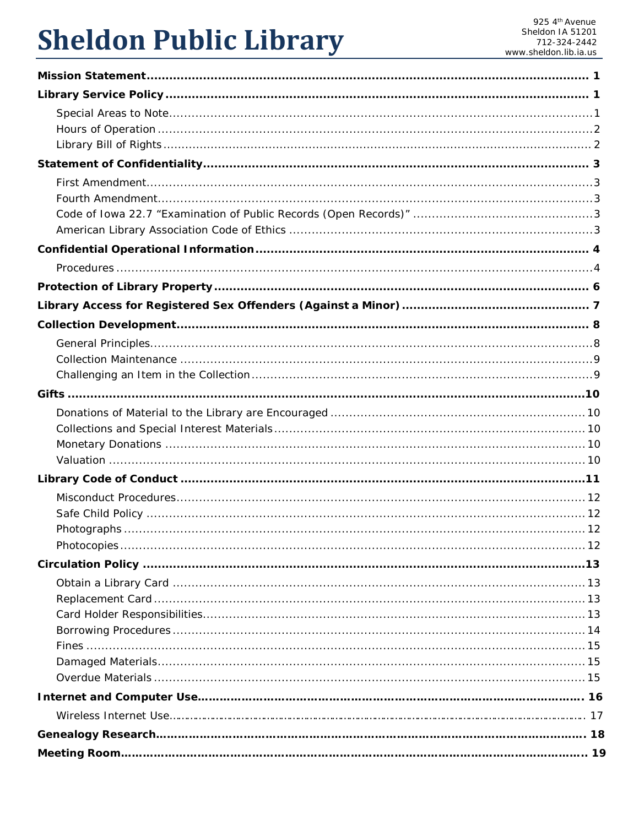# **Sheldon Public Library**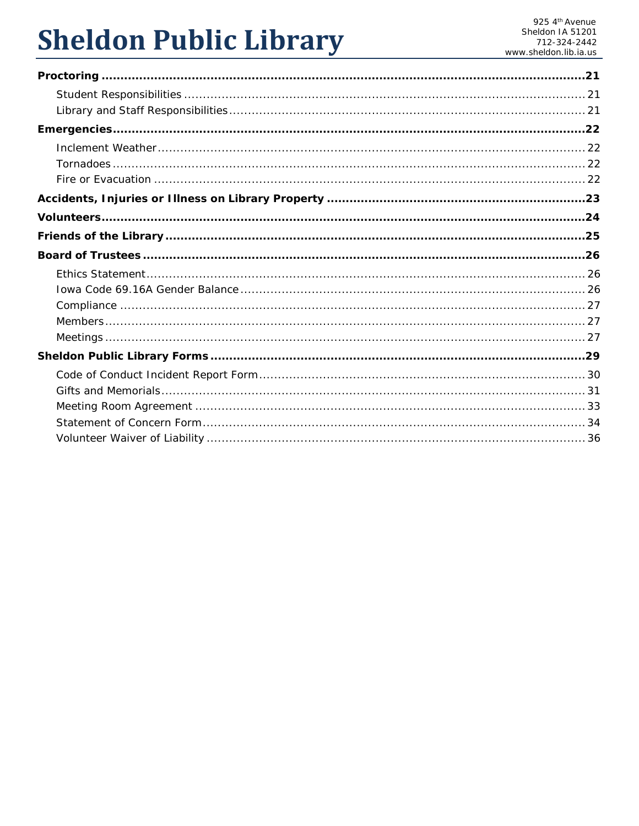# **Sheldon Public Library**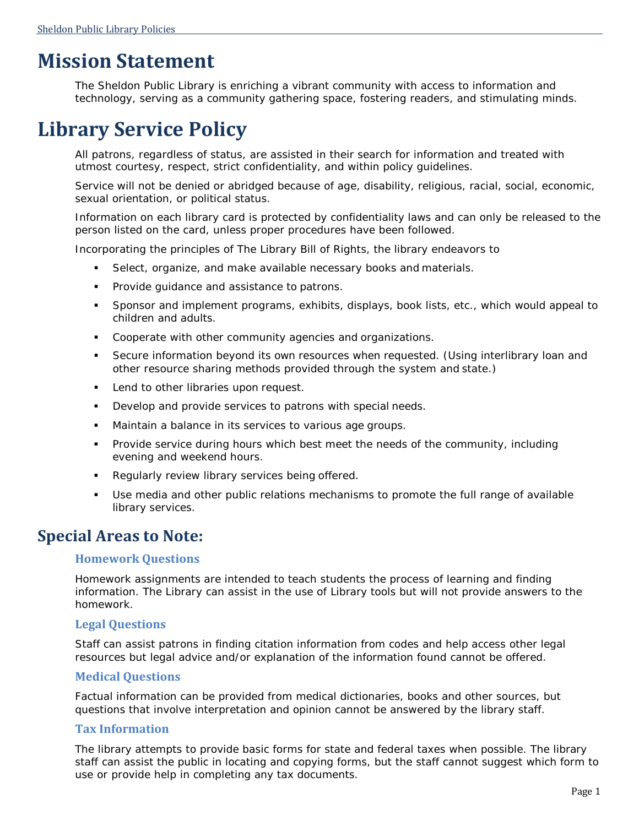## <span id="page-3-0"></span>**Mission Statement**

The Sheldon Public Library is enriching a vibrant community with access to information and technology, serving as a community gathering space, fostering readers, and stimulating minds.

## <span id="page-3-1"></span>**Library Service Policy**

All patrons, regardless of status, are assisted in their search for information and treated with utmost courtesy, respect, strict confidentiality, and within policy guidelines.

Service will not be denied or abridged because of age, disability, religious, racial, social, economic, sexual orientation, or political status.

Information on each library card is protected by confidentiality laws and can only be released to the person listed on the card, unless proper procedures have been followed.

Incorporating the principles of The Library Bill of Rights, the library endeavors to

- Select, organize, and make available necessary books and materials.
- **Provide guidance and assistance to patrons.**
- Sponsor and implement programs, exhibits, displays, book lists, etc., which would appeal to children and adults.
- Cooperate with other community agencies and organizations.
- Secure information beyond its own resources when requested. (Using interlibrary loan and other resource sharing methods provided through the system and state.)
- **Lend to other libraries upon request.**
- **Develop and provide services to patrons with special needs.**
- Maintain a balance in its services to various age groups.
- **Provide service during hours which best meet the needs of the community, including** evening and weekend hours.
- **Regularly review library services being offered.**
- Use media and other public relations mechanisms to promote the full range of available library services.

### <span id="page-3-2"></span>**Special Areas to Note:**

#### **Homework Questions**

Homework assignments are intended to teach students the process of learning and finding information. The Library can assist in the use of Library tools but will not provide answers to the homework.

#### **Legal Questions**

Staff can assist patrons in finding citation information from codes and help access other legal resources but legal advice and/or explanation of the information found cannot be offered.

#### **Medical Questions**

Factual information can be provided from medical dictionaries, books and other sources, but questions that involve interpretation and opinion cannot be answered by the library staff.

#### **Tax Information**

The library attempts to provide basic forms for state and federal taxes when possible. The library staff can assist the public in locating and copying forms, but the staff cannot suggest which form to use or provide help in completing any tax documents.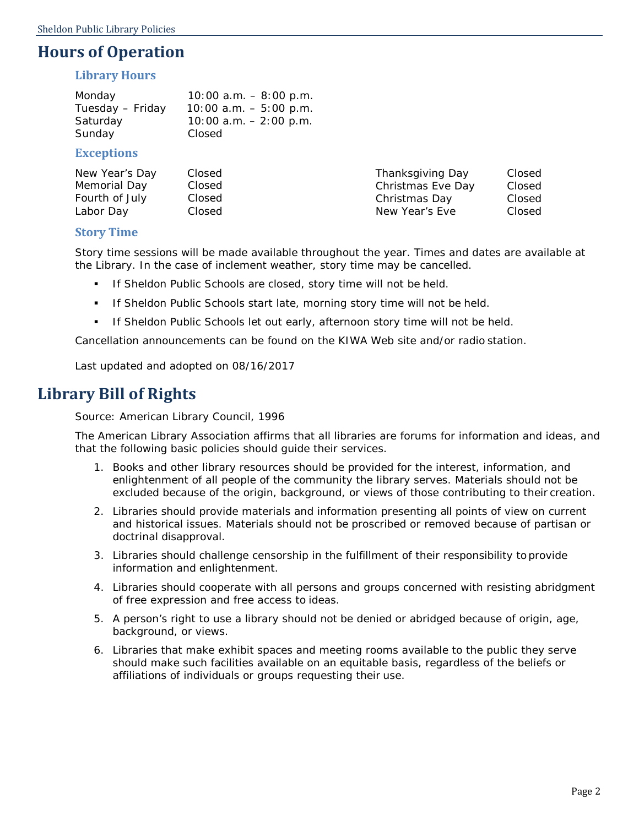### <span id="page-4-0"></span>**Hours of Operation**

#### **Library Hours**

| Monday           | $10:00$ a.m. $-8:00$ p.m. |
|------------------|---------------------------|
| Tuesday – Friday | $10:00$ a.m. $-5:00$ p.m. |
| Saturday         | $10:00$ a.m. $-2:00$ p.m. |
| Sunday           | Closed                    |
|                  |                           |

#### **Exceptions**

| New Year's Day | Closed | Thanksgiving Day  | Closed |
|----------------|--------|-------------------|--------|
| Memorial Day   | Closed | Christmas Eve Day | Closed |
| Fourth of July | Closed | Christmas Day     | Closed |
| Labor Day      | Closed | New Year's Eve    | Closed |

#### **Story Time**

Story time sessions will be made available throughout the year. Times and dates are available at the Library. In the case of inclement weather, story time may be cancelled.

- If Sheldon Public Schools are closed, story time will not be held.
- If Sheldon Public Schools start late, morning story time will not be held.
- **If Sheldon Public Schools let out early, afternoon story time will not be held.**

Cancellation announcements can be found on the KIWA Web site and/or radio station.

*Last updated and adopted on 08/16/2017*

### <span id="page-4-1"></span>**Library Bill of Rights**

Source: American Library Council, 1996

The American Library Association affirms that all libraries are forums for information and ideas, and that the following basic policies should guide their services.

- 1. Books and other library resources should be provided for the interest, information, and enlightenment of all people of the community the library serves. Materials should not be excluded because of the origin, background, or views of those contributing to their creation.
- 2. Libraries should provide materials and information presenting all points of view on current and historical issues. Materials should not be proscribed or removed because of partisan or doctrinal disapproval.
- 3. Libraries should challenge censorship in the fulfillment of their responsibility to provide information and enlightenment.
- 4. Libraries should cooperate with all persons and groups concerned with resisting abridgment of free expression and free access to ideas.
- 5. A person's right to use a library should not be denied or abridged because of origin, age, background, or views.
- 6. Libraries that make exhibit spaces and meeting rooms available to the public they serve should make such facilities available on an equitable basis, regardless of the beliefs or affiliations of individuals or groups requesting their use.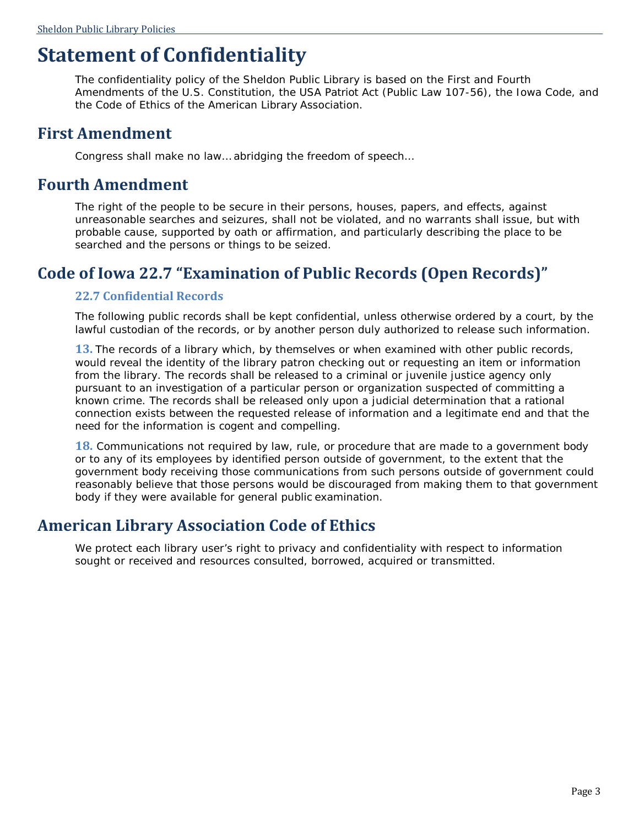## <span id="page-5-0"></span>**Statement of Confidentiality**

The confidentiality policy of the Sheldon Public Library is based on the First and Fourth Amendments of the U.S. Constitution, the USA Patriot Act (Public Law 107-56), the Iowa Code, and the Code of Ethics of the American Library Association.

### <span id="page-5-1"></span>**First Amendment**

Congress shall make no law… abridging the freedom of speech…

### <span id="page-5-2"></span>**Fourth Amendment**

The right of the people to be secure in their persons, houses, papers, and effects, against unreasonable searches and seizures, shall not be violated, and no warrants shall issue, but with probable cause, supported by oath or affirmation, and particularly describing the place to be searched and the persons or things to be seized.

### <span id="page-5-3"></span>**Code of Iowa 22.7 "Examination of Public Records (Open Records)"**

### **22.7 Confidential Records**

The following public records shall be kept confidential, unless otherwise ordered by a court, by the lawful custodian of the records, or by another person duly authorized to release such information.

**13.** The records of a library which, by themselves or when examined with other public records, would reveal the identity of the library patron checking out or requesting an item or information from the library. The records shall be released to a criminal or juvenile justice agency only pursuant to an investigation of a particular person or organization suspected of committing a known crime. The records shall be released only upon a judicial determination that a rational connection exists between the requested release of information and a legitimate end and that the need for the information is cogent and compelling.

**18.** Communications not required by law, rule, or procedure that are made to a government body or to any of its employees by identified person outside of government, to the extent that the government body receiving those communications from such persons outside of government could reasonably believe that those persons would be discouraged from making them to that government body if they were available for general public examination.

### <span id="page-5-4"></span>**American Library Association Code of Ethics**

We protect each library user's right to privacy and confidentiality with respect to information sought or received and resources consulted, borrowed, acquired or transmitted.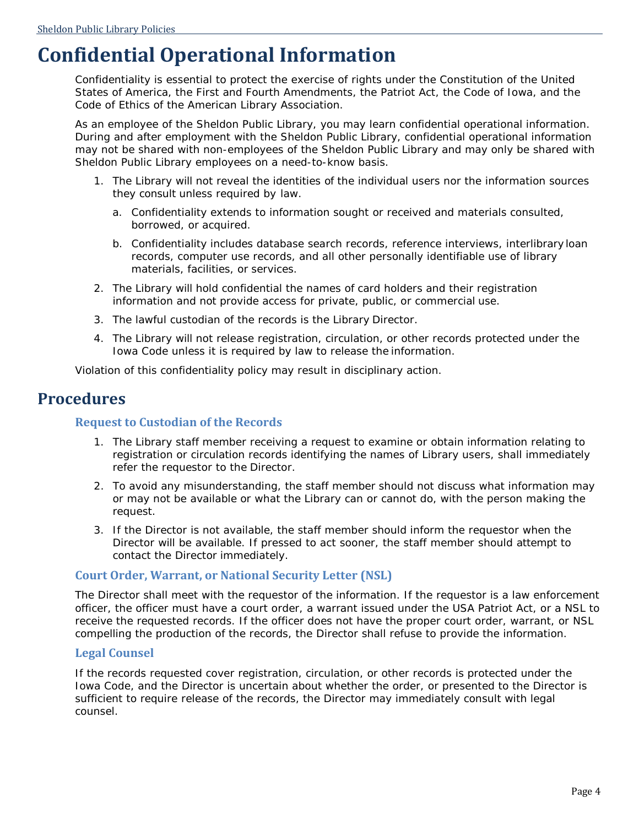## <span id="page-6-0"></span>**Confidential Operational Information**

Confidentiality is essential to protect the exercise of rights under the Constitution of the United States of America, the First and Fourth Amendments, the Patriot Act, the Code of Iowa, and the Code of Ethics of the American Library Association.

As an employee of the Sheldon Public Library, you may learn confidential operational information. During and after employment with the Sheldon Public Library, confidential operational information may not be shared with non-employees of the Sheldon Public Library and may only be shared with Sheldon Public Library employees on a need-to-know basis.

- 1. The Library will not reveal the identities of the individual users nor the information sources they consult unless required by law.
	- a. Confidentiality extends to information sought or received and materials consulted, borrowed, or acquired.
	- b. Confidentiality includes database search records, reference interviews, interlibrary loan records, computer use records, and all other personally identifiable use of library materials, facilities, or services.
- 2. The Library will hold confidential the names of card holders and their registration information and not provide access for private, public, or commercial use.
- 3. The lawful custodian of the records is the Library Director.
- 4. The Library will not release registration, circulation, or other records protected under the Iowa Code unless it is required by law to release the information.

Violation of this confidentiality policy may result in disciplinary action.

### <span id="page-6-1"></span>**Procedures**

#### **Request to Custodian of the Records**

- 1. The Library staff member receiving a request to examine or obtain information relating to registration or circulation records identifying the names of Library users, shall immediately refer the requestor to the Director.
- 2. To avoid any misunderstanding, the staff member should not discuss what information may or may not be available or what the Library can or cannot do, with the person making the request.
- 3. If the Director is not available, the staff member should inform the requestor when the Director will be available. If pressed to act sooner, the staff member should attempt to contact the Director immediately.

#### **Court Order, Warrant, or National Security Letter (NSL)**

The Director shall meet with the requestor of the information. If the requestor is a law enforcement officer, the officer must have a court order, a warrant issued under the USA Patriot Act, or a NSL to receive the requested records. If the officer does not have the proper court order, warrant, or NSL compelling the production of the records, the Director shall refuse to provide the information.

#### **Legal Counsel**

If the records requested cover registration, circulation, or other records is protected under the Iowa Code, and the Director is uncertain about whether the order, or presented to the Director is sufficient to require release of the records, the Director may immediately consult with legal counsel.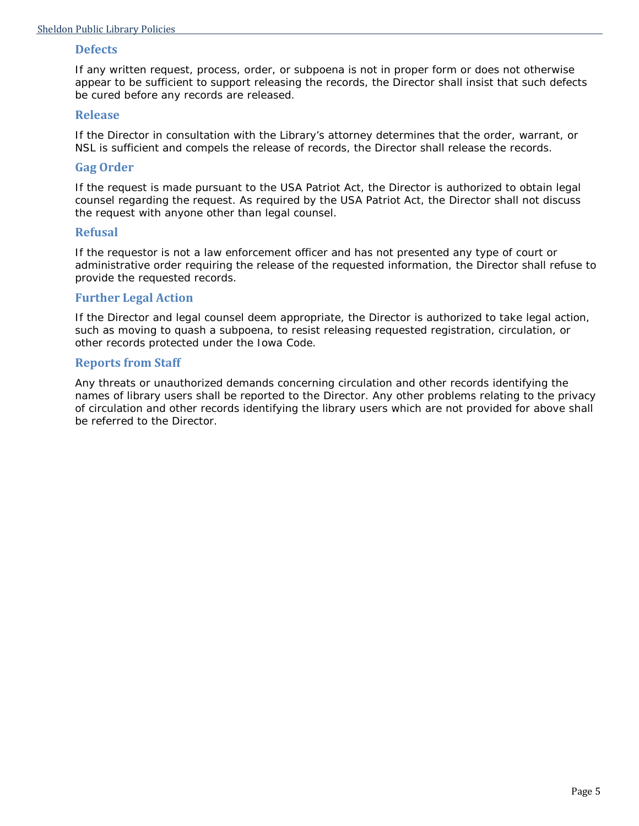#### **Defects**

If any written request, process, order, or subpoena is not in proper form or does not otherwise appear to be sufficient to support releasing the records, the Director shall insist that such defects be cured before any records are released.

#### **Release**

If the Director in consultation with the Library's attorney determines that the order, warrant, or NSL is sufficient and compels the release of records, the Director shall release the records.

#### **Gag Order**

If the request is made pursuant to the USA Patriot Act, the Director is authorized to obtain legal counsel regarding the request. As required by the USA Patriot Act, the Director shall not discuss the request with anyone other than legal counsel.

#### **Refusal**

If the requestor is not a law enforcement officer and has not presented any type of court or administrative order requiring the release of the requested information, the Director shall refuse to provide the requested records.

#### **Further Legal Action**

If the Director and legal counsel deem appropriate, the Director is authorized to take legal action, such as moving to quash a subpoena, to resist releasing requested registration, circulation, or other records protected under the Iowa Code.

#### **Reports from Staff**

Any threats or unauthorized demands concerning circulation and other records identifying the names of library users shall be reported to the Director. Any other problems relating to the privacy of circulation and other records identifying the library users which are not provided for above shall be referred to the Director.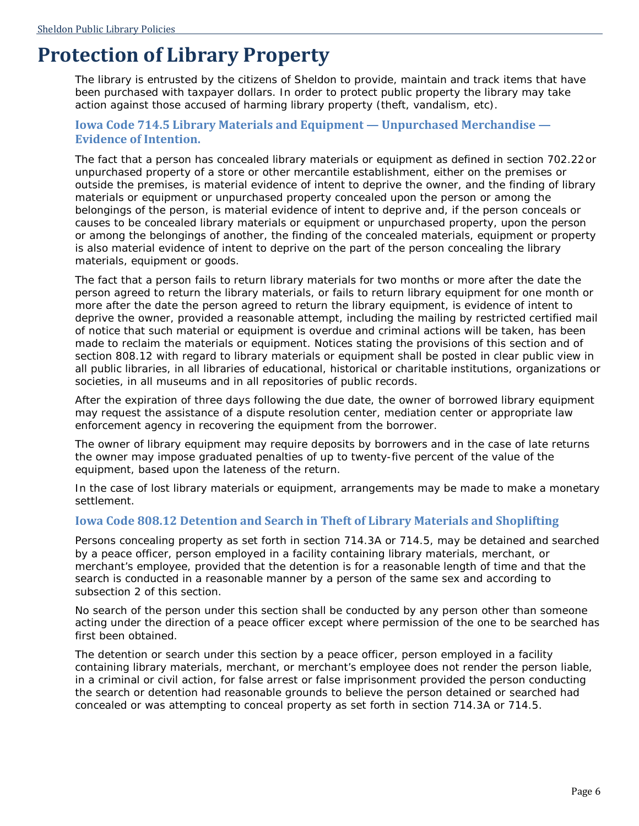## <span id="page-8-0"></span>**Protection of Library Property**

The library is entrusted by the citizens of Sheldon to provide, maintain and track items that have been purchased with taxpayer dollars. In order to protect public property the library may take action against those accused of harming library property (theft, vandalism, etc).

#### **Iowa Code 714.5 Library Materials and Equipment — Unpurchased Merchandise — Evidence of Intention.**

The fact that a person has concealed library materials or equipment as defined in section 702.22or unpurchased property of a store or other mercantile establishment, either on the premises or outside the premises, is material evidence of intent to deprive the owner, and the finding of library materials or equipment or unpurchased property concealed upon the person or among the belongings of the person, is material evidence of intent to deprive and, if the person conceals or causes to be concealed library materials or equipment or unpurchased property, upon the person or among the belongings of another, the finding of the concealed materials, equipment or property is also material evidence of intent to deprive on the part of the person concealing the library materials, equipment or goods.

The fact that a person fails to return library materials for two months or more after the date the person agreed to return the library materials, or fails to return library equipment for one month or more after the date the person agreed to return the library equipment, is evidence of intent to deprive the owner, provided a reasonable attempt, including the mailing by restricted certified mail of notice that such material or equipment is overdue and criminal actions will be taken, has been made to reclaim the materials or equipment. Notices stating the provisions of this section and of section 808.12 with regard to library materials or equipment shall be posted in clear public view in all public libraries, in all libraries of educational, historical or charitable institutions, organizations or societies, in all museums and in all repositories of public records.

After the expiration of three days following the due date, the owner of borrowed library equipment may request the assistance of a dispute resolution center, mediation center or appropriate law enforcement agency in recovering the equipment from the borrower.

The owner of library equipment may require deposits by borrowers and in the case of late returns the owner may impose graduated penalties of up to twenty-five percent of the value of the equipment, based upon the lateness of the return.

In the case of lost library materials or equipment, arrangements may be made to make a monetary settlement.

#### **Iowa Code 808.12 Detention and Search in Theft of Library Materials and Shoplifting**

Persons concealing property as set forth in section 714.3A or 714.5, may be detained and searched by a peace officer, person employed in a facility containing library materials, merchant, or merchant's employee, provided that the detention is for a reasonable length of time and that the search is conducted in a reasonable manner by a person of the same sex and according to subsection 2 of this section.

No search of the person under this section shall be conducted by any person other than someone acting under the direction of a peace officer except where permission of the one to be searched has first been obtained.

The detention or search under this section by a peace officer, person employed in a facility containing library materials, merchant, or merchant's employee does not render the person liable, in a criminal or civil action, for false arrest or false imprisonment provided the person conducting the search or detention had reasonable grounds to believe the person detained or searched had concealed or was attempting to conceal property as set forth in section 714.3A or 714.5.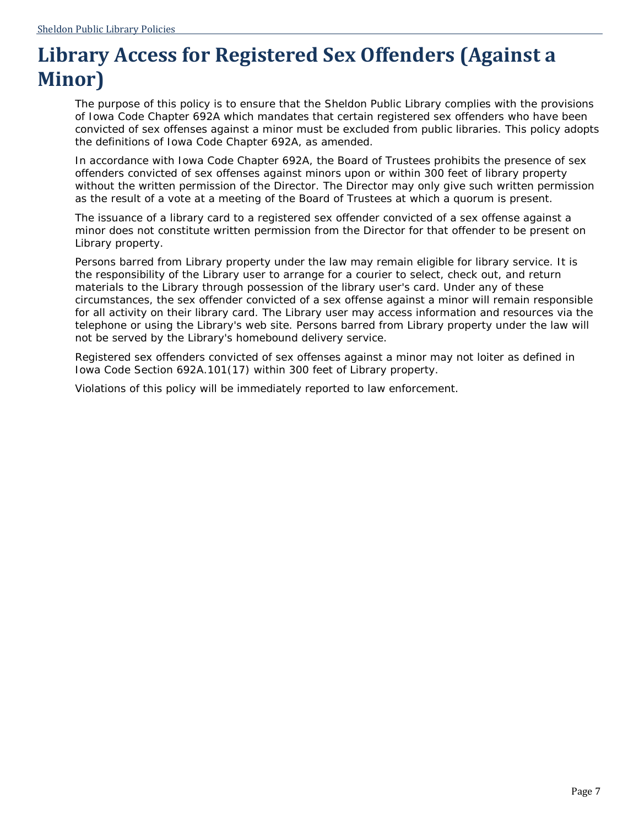## <span id="page-9-0"></span>**Library Access for Registered Sex Offenders (Against a Minor)**

The purpose of this policy is to ensure that the Sheldon Public Library complies with the provisions of Iowa Code Chapter 692A which mandates that certain registered sex offenders who have been convicted of sex offenses against a minor must be excluded from public libraries. This policy adopts the definitions of Iowa Code Chapter 692A, as amended.

In accordance with Iowa Code Chapter 692A, the Board of Trustees prohibits the presence of sex offenders convicted of sex offenses against minors upon or within 300 feet of library property without the written permission of the Director. The Director may only give such written permission as the result of a vote at a meeting of the Board of Trustees at which a quorum is present.

The issuance of a library card to a registered sex offender convicted of a sex offense against a minor does not constitute written permission from the Director for that offender to be present on Library property.

Persons barred from Library property under the law may remain eligible for library service. It is the responsibility of the Library user to arrange for a courier to select, check out, and return materials to the Library through possession of the library user's card. Under any of these circumstances, the sex offender convicted of a sex offense against a minor will remain responsible for all activity on their library card. The Library user may access information and resources via the telephone or using the Library's web site. Persons barred from Library property under the law will not be served by the Library's homebound delivery service.

Registered sex offenders convicted of sex offenses against a minor may not loiter as defined in Iowa Code Section 692A.101(17) within 300 feet of Library property.

Violations of this policy will be immediately reported to law enforcement.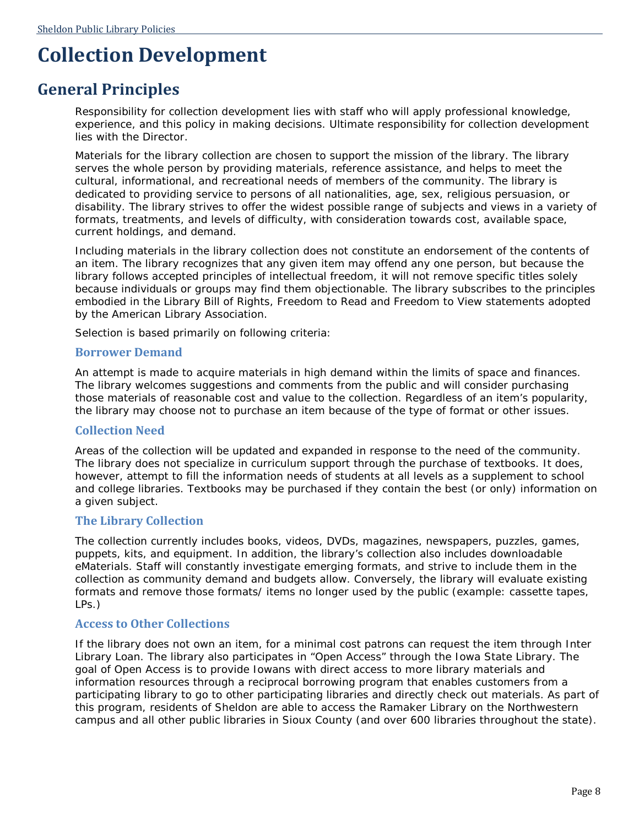## <span id="page-10-0"></span>**Collection Development**

### <span id="page-10-1"></span>**General Principles**

Responsibility for collection development lies with staff who will apply professional knowledge, experience, and this policy in making decisions. Ultimate responsibility for collection development lies with the Director.

Materials for the library collection are chosen to support the mission of the library. The library serves the whole person by providing materials, reference assistance, and helps to meet the cultural, informational, and recreational needs of members of the community. The library is dedicated to providing service to persons of all nationalities, age, sex, religious persuasion, or disability. The library strives to offer the widest possible range of subjects and views in a variety of formats, treatments, and levels of difficulty, with consideration towards cost, available space, current holdings, and demand.

Including materials in the library collection does not constitute an endorsement of the contents of an item. The library recognizes that any given item may offend any one person, but because the library follows accepted principles of intellectual freedom, it will not remove specific titles solely because individuals or groups may find them objectionable. The library subscribes to the principles embodied in the *Library Bill of Rights*, *Freedom to Read* and *Freedom to View* statements adopted by the American Library Association.

Selection is based primarily on following criteria:

#### **Borrower Demand**

*A*n attempt is made to acquire materials in high demand within the limits of space and finances. The library welcomes suggestions and comments from the public and will consider purchasing those materials of reasonable cost and value to the collection. Regardless of an item's popularity, the library may choose not to purchase an item because of the type of format or other issues.

#### **Collection Need**

Areas of the collection will be updated and expanded in response to the need of the community. The library does not specialize in curriculum support through the purchase of textbooks. It does, however, attempt to fill the information needs of students at all levels as a supplement to school and college libraries. Textbooks may be purchased if they contain the best (or only) information on a given subject.

#### **The Library Collection**

The collection currently includes books, videos, DVDs, magazines, newspapers, puzzles, games, puppets, kits, and equipment. In addition, the library's collection also includes downloadable eMaterials. Staff will constantly investigate emerging formats, and strive to include them in the collection as community demand and budgets allow. Conversely, the library will evaluate existing formats and remove those formats/ items no longer used by the public (example: cassette tapes, LPs.)

#### **Access to Other Collections**

If the library does not own an item, for a minimal cost patrons can request the item through Inter Library Loan. The library also participates in "Open Access" through the Iowa State Library. The goal of Open Access is to provide Iowans with direct access to more library materials and information resources through a reciprocal borrowing program that enables customers from a participating library to go to other participating libraries and directly check out materials. As part of this program, residents of Sheldon are able to access the Ramaker Library on the Northwestern campus and all other public libraries in Sioux County (and over 600 libraries throughout the state).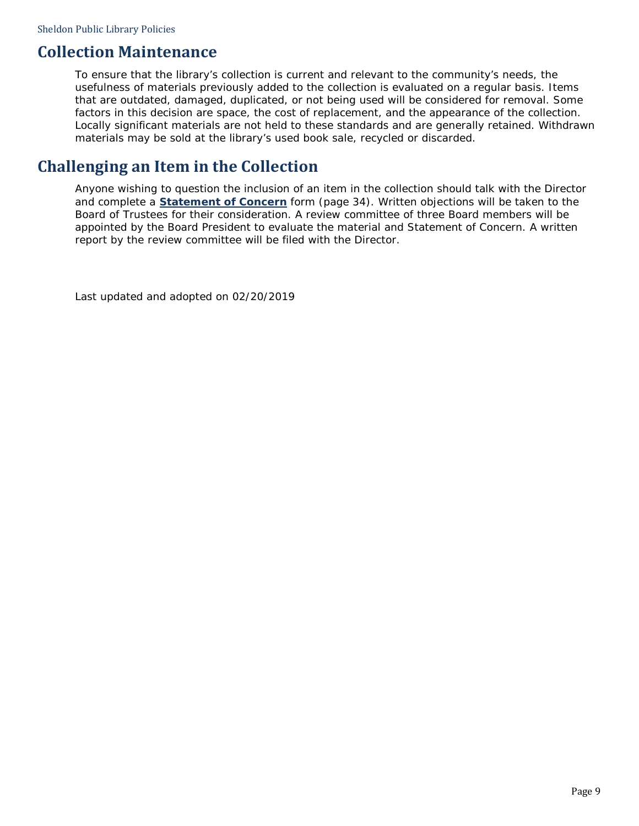### <span id="page-11-0"></span>**Collection Maintenance**

To ensure that the library's collection is current and relevant to the community's needs, the usefulness of materials previously added to the collection is evaluated on a regular basis. Items that are outdated, damaged, duplicated, or not being used will be considered for removal. Some factors in this decision are space, the cost of replacement, and the appearance of the collection. Locally significant materials are not held to these standards and are generally retained. Withdrawn materials may be sold at the library's used book sale, recycled or discarded.

### <span id="page-11-1"></span>**Challenging an Item in the Collection**

Anyone wishing to question the inclusion of an item in the collection should talk with the Director and complete a **[Statement of Concern](#page-36-0)** form (page [34\)](#page-36-0). Written objections will be taken to the Board of Trustees for their consideration. A review committee of three Board members will be appointed by the Board President to evaluate the material and Statement of Concern. A written report by the review committee will be filed with the Director.

Last updated and adopted on 02/20/2019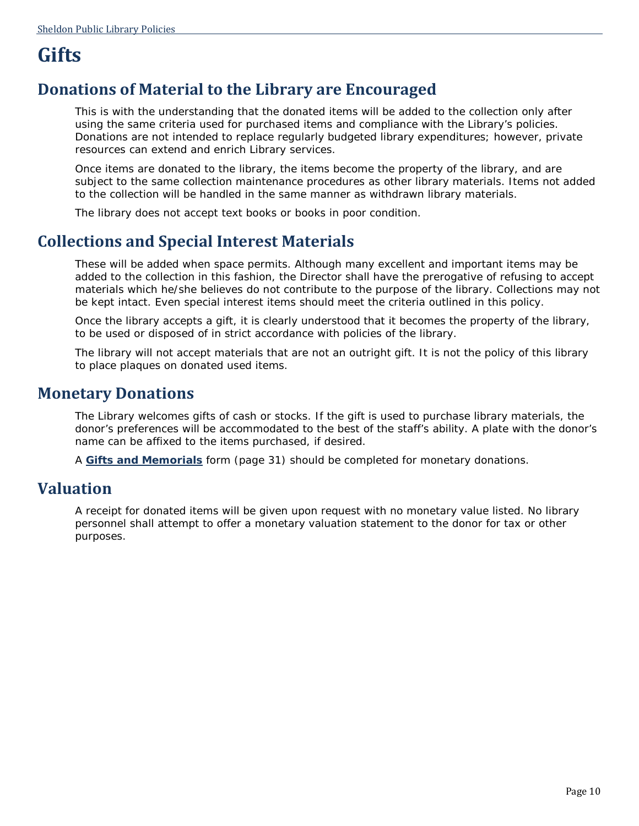## <span id="page-12-0"></span>**Gifts**

### <span id="page-12-1"></span>**Donations of Material to the Library are Encouraged**

This is with the understanding that the donated items will be added to the collection only after using the same criteria used for purchased items and compliance with the Library's policies. Donations are not intended to replace regularly budgeted library expenditures; however, private resources can extend and enrich Library services.

Once items are donated to the library, the items become the property of the library, and are subject to the same collection maintenance procedures as other library materials. Items not added to the collection will be handled in the same manner as withdrawn library materials.

The library does not accept text books or books in poor condition.

### <span id="page-12-2"></span>**Collections and Special Interest Materials**

These will be added when space permits. Although many excellent and important items may be added to the collection in this fashion, the Director shall have the prerogative of refusing to accept materials which he/she believes do not contribute to the purpose of the library. Collections may not be kept intact. Even special interest items should meet the criteria outlined in this policy.

Once the library accepts a gift, it is clearly understood that it becomes the property of the library, to be used or disposed of in strict accordance with policies of the library.

The library will not accept materials that are not an outright gift. It is not the policy of this library to place plaques on donated used items.

### <span id="page-12-3"></span>**Monetary Donations**

The Library welcomes gifts of cash or stocks. If the gift is used to purchase library materials, the donor's preferences will be accommodated to the best of the staff's ability. A plate with the donor's name can be affixed to the items purchased, if desired.

A **[Gifts and Memorials](#page-33-0)** form (page [31\)](#page-33-0) should be completed for monetary donations.

### <span id="page-12-4"></span>**Valuation**

A receipt for donated items will be given upon request with no monetary value listed. No library personnel shall attempt to offer a monetary valuation statement to the donor for tax or other purposes.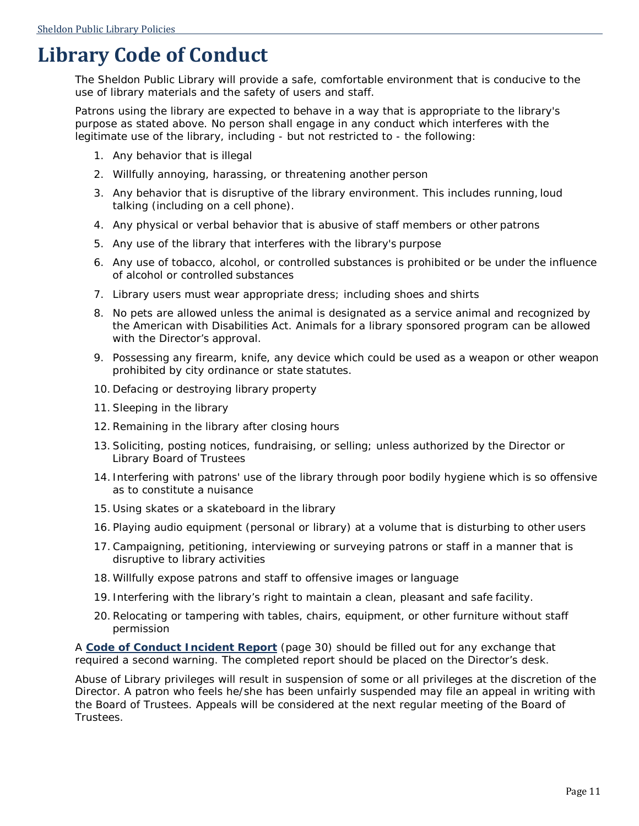## <span id="page-13-0"></span>**Library Code of Conduct**

The Sheldon Public Library will provide a safe, comfortable environment that is conducive to the use of library materials and the safety of users and staff.

Patrons using the library are expected to behave in a way that is appropriate to the library's purpose as stated above. No person shall engage in any conduct which interferes with the legitimate use of the library, including - but not restricted to - the following:

- 1. Any behavior that is illegal
- 2. Willfully annoying, harassing, or threatening another person
- 3. Any behavior that is disruptive of the library environment. This includes running, loud talking (including on a cell phone).
- 4. Any physical or verbal behavior that is abusive of staff members or other patrons
- 5. Any use of the library that interferes with the library's purpose
- 6. Any use of tobacco, alcohol, or controlled substances is prohibited or be under the influence of alcohol or controlled substances
- 7. Library users must wear appropriate dress; including shoes and shirts
- 8. No pets are allowed unless the animal is designated as a service animal and recognized by the American with Disabilities Act. Animals for a library sponsored program can be allowed with the Director's approval.
- 9. Possessing any firearm, knife, any device which could be used as a weapon or other weapon prohibited by city ordinance or state statutes.
- 10. Defacing or destroying library property
- 11. Sleeping in the library
- 12. Remaining in the library after closing hours
- 13. Soliciting, posting notices, fundraising, or selling; unless authorized by the Director or Library Board of Trustees
- 14. Interfering with patrons' use of the library through poor bodily hygiene which is so offensive as to constitute a nuisance
- 15. Using skates or a skateboard in the library
- 16. Playing audio equipment (personal or library) at a volume that is disturbing to other users
- 17. Campaigning, petitioning, interviewing or surveying patrons or staff in a manner that is disruptive to library activities
- 18. Willfully expose patrons and staff to offensive images or language
- 19. Interfering with the library's right to maintain a clean, pleasant and safe facility.
- 20. Relocating or tampering with tables, chairs, equipment, or other furniture without staff permission

A **[Code of Conduct Incident Report](#page-32-0)** (page [30\)](#page-32-0) should be filled out for any exchange that required a second warning. The completed report should be placed on the Director's desk.

Abuse of Library privileges will result in suspension of some or all privileges at the discretion of the Director. A patron who feels he/she has been unfairly suspended may file an appeal in writing with the Board of Trustees. Appeals will be considered at the next regular meeting of the Board of Trustees.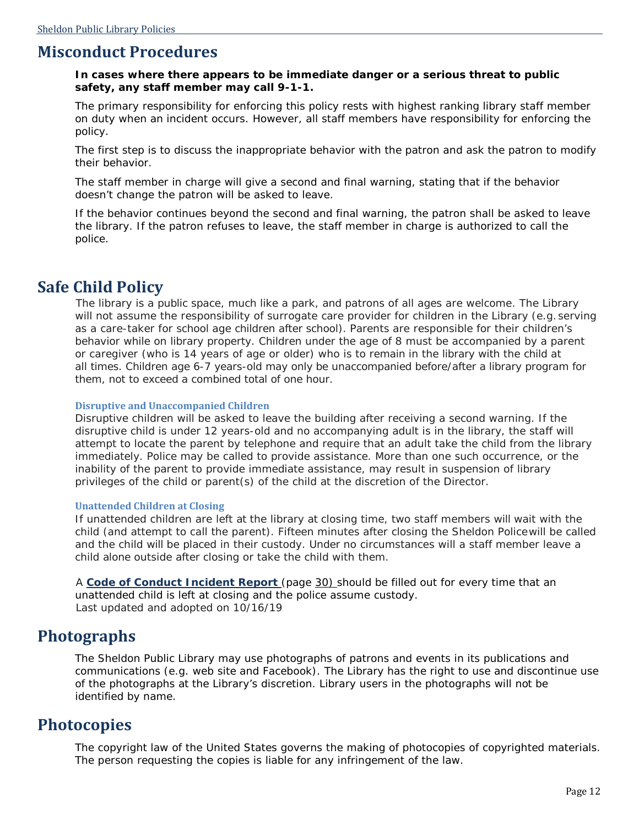### <span id="page-14-0"></span>**Misconduct Procedures**

#### **In cases where there appears to be immediate danger or a serious threat to public safety, any staff member may call 9-1-1.**

The primary responsibility for enforcing this policy rests with highest ranking library staff member on duty when an incident occurs. However, all staff members have responsibility for enforcing the policy.

The first step is to discuss the inappropriate behavior with the patron and ask the patron to modify their behavior.

The staff member in charge will give a second and final warning, stating that if the behavior doesn't change the patron will be asked to leave.

If the behavior continues beyond the second and final warning, the patron shall be asked to leave the library. If the patron refuses to leave, the staff member in charge is authorized to call the police.

### <span id="page-14-1"></span>**Safe Child Policy**

The library is a public space, much like a park, and patrons of all ages are welcome. The Library will not assume the responsibility of surrogate care provider for children in the Library (e.g. serving as a care-taker for school age children after school). Parents are responsible for their children's behavior while on library property. Children under the age of 8 must be accompanied by a parent or caregiver (who is 14 years of age or older) who is to remain in the library with the child at all times. Children age 6-7 years-old may only be unaccompanied before/after a library program for them, not to exceed a combined total of one hour.

#### **Disruptive and Unaccompanied Children**

Disruptive children will be asked to leave the building after receiving a second warning. If the disruptive child is under 12 years-old and no accompanying adult is in the library, the staff will attempt to locate the parent by telephone and require that an adult take the child from the library immediately. Police may be called to provide assistance. More than one such occurrence, or the inability of the parent to provide immediate assistance, may result in suspension of library privileges of the child or parent(s) of the child at the discretion of the Director.

#### **Unattended Children at Closing**

If unattended children are left at the library at closing time, two staff members will wait with the child (and attempt to call the parent). Fifteen minutes after closing the Sheldon Policewill be called and the child will be placed in their custody. Under no circumstances will a staff member leave a child alone outside after closing or take the child with them.

A **Code of Conduct [Incident Report](https://outlook.live.com/mail/inbox/id/AQQkADAwATE2ZjAxLTI2ODQtZWUAZGQALTAwAi0wMAoAEABoY%2Bora7%2FlQZREsd%2FpkLvy#bookmark57)** (page [30\)](https://outlook.live.com/mail/inbox/id/AQQkADAwATE2ZjAxLTI2ODQtZWUAZGQALTAwAi0wMAoAEABoY%2Bora7%2FlQZREsd%2FpkLvy#bookmark57) should be filled out for every time that an unattended child is left at closing and the police assume custody. *Last updated and adopted on 10/16/19*

### <span id="page-14-2"></span>**Photographs**

The Sheldon Public Library may use photographs of patrons and events in its publications and communications (e.g. web site and Facebook). The Library has the right to use and discontinue use of the photographs at the Library's discretion. Library users in the photographs will not be identified by name.

### <span id="page-14-3"></span>**Photocopies**

The copyright law of the United States governs the making of photocopies of copyrighted materials. The person requesting the copies is liable for any infringement of the law.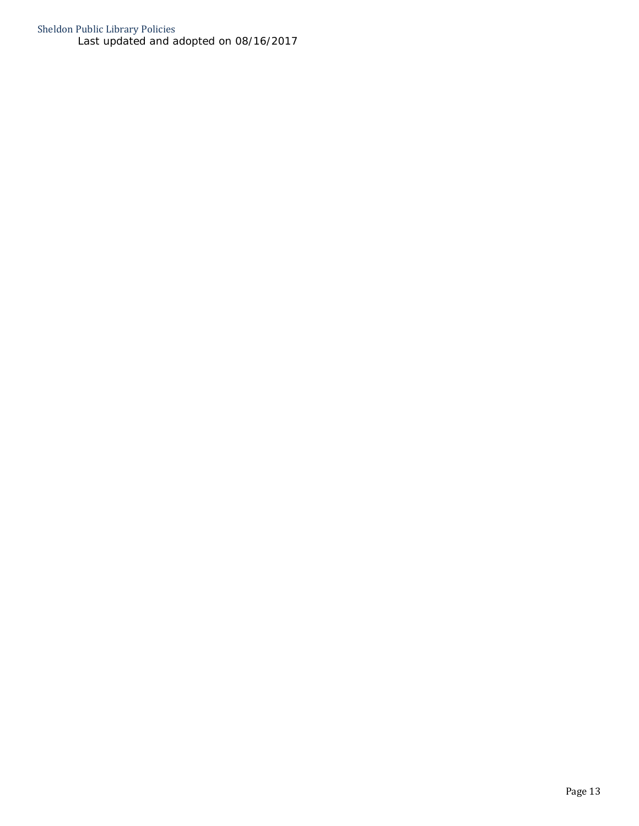Sheldon Public Library Policies *Last updated and adopted on 08/16/2017*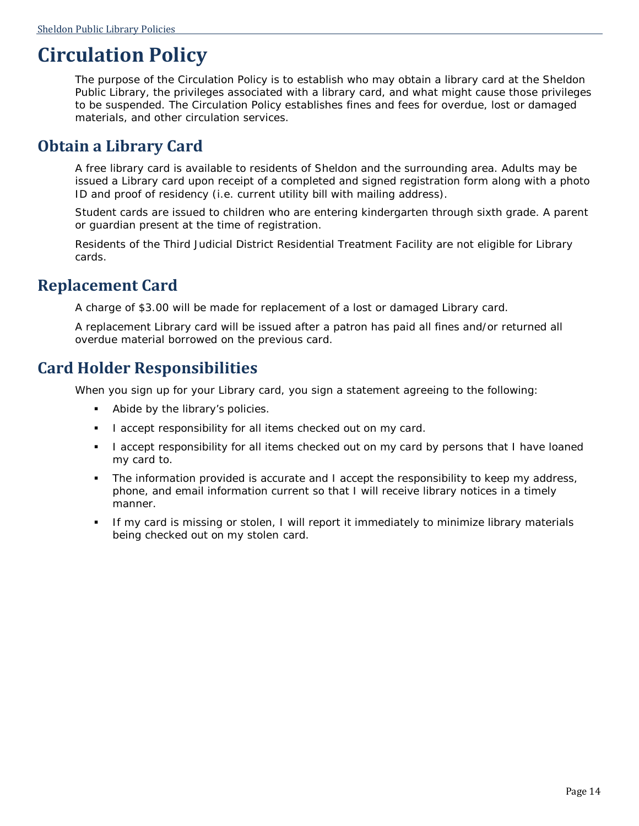## <span id="page-16-0"></span>**Circulation Policy**

The purpose of the Circulation Policy is to establish who may obtain a library card at the Sheldon Public Library, the privileges associated with a library card, and what might cause those privileges to be suspended. The Circulation Policy establishes fines and fees for overdue, lost or damaged materials, and other circulation services.

### <span id="page-16-1"></span>**Obtain a Library Card**

A free library card is available to residents of Sheldon and the surrounding area. Adults may be issued a Library card upon receipt of a completed and signed registration form along with a photo ID and proof of residency (i.e. current utility bill with mailing address).

Student cards are issued to children who are entering kindergarten through sixth grade. A parent or guardian present at the time of registration.

Residents of the Third Judicial District Residential Treatment Facility are not eligible for Library cards.

### <span id="page-16-2"></span>**Replacement Card**

A charge of \$3.00 will be made for replacement of a lost or damaged Library card.

A replacement Library card will be issued after a patron has paid all fines and/or returned all overdue material borrowed on the previous card.

### <span id="page-16-3"></span>**Card Holder Responsibilities**

When you sign up for your Library card, you sign a statement agreeing to the following:

- Abide by the library's policies.
- I accept responsibility for all items checked out on my card.
- I accept responsibility for all items checked out on my card by persons that I have loaned my card to.
- The information provided is accurate and I accept the responsibility to keep my address, phone, and email information current so that I will receive library notices in a timely manner.
- If my card is missing or stolen, I will report it immediately to minimize library materials being checked out on my stolen card.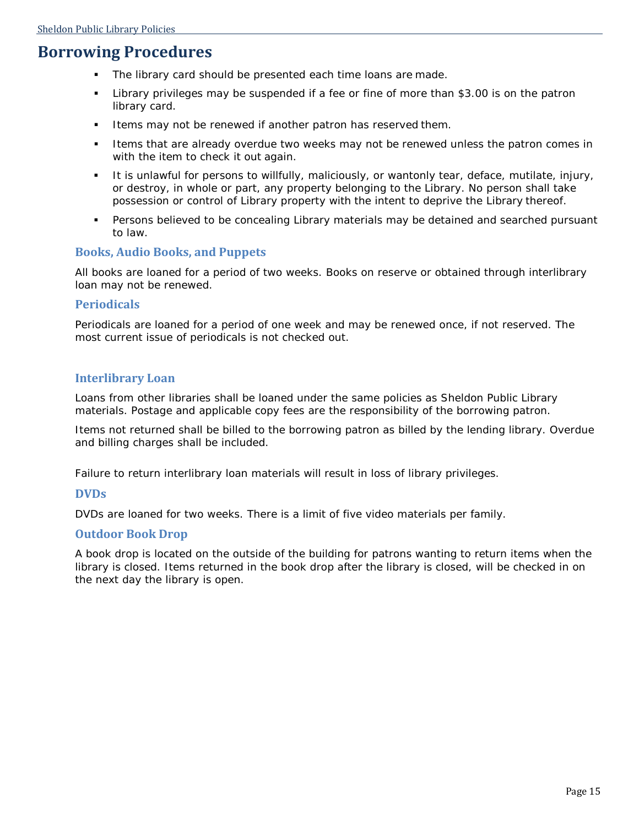### <span id="page-17-0"></span>**Borrowing Procedures**

- The library card should be presented each time loans are made.
- Library privileges may be suspended if a fee or fine of more than \$3.00 is on the patron library card.
- **Items may not be renewed if another patron has reserved them.**
- Items that are already overdue two weeks may not be renewed unless the patron comes in with the item to check it out again.
- It is unlawful for persons to willfully, maliciously, or wantonly tear, deface, mutilate, injury, or destroy, in whole or part, any property belonging to the Library. No person shall take possession or control of Library property with the intent to deprive the Library thereof.
- Persons believed to be concealing Library materials may be detained and searched pursuant to law.

#### **Books, Audio Books, and Puppets**

All books are loaned for a period of two weeks. Books on reserve or obtained through interlibrary loan may not be renewed.

#### **Periodicals**

Periodicals are loaned for a period of one week and may be renewed once, if not reserved. The most current issue of periodicals is not checked out.

#### **Interlibrary Loan**

Loans from other libraries shall be loaned under the same policies as Sheldon Public Library materials. Postage and applicable copy fees are the responsibility of the borrowing patron.

Items not returned shall be billed to the borrowing patron as billed by the lending library. Overdue and billing charges shall be included.

Failure to return interlibrary loan materials will result in loss of library privileges.

#### **DVDs**

DVDs are loaned for two weeks. There is a limit of five video materials per family.

#### **Outdoor Book Drop**

A book drop is located on the outside of the building for patrons wanting to return items when the library is closed. Items returned in the book drop after the library is closed, will be checked in on the next day the library is open.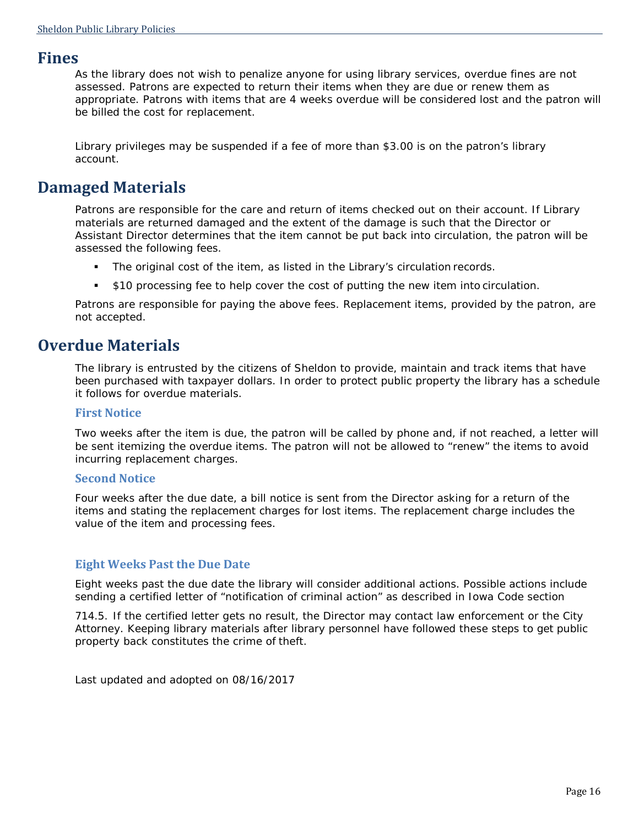### <span id="page-18-0"></span>**Fines**

As the library does not wish to penalize anyone for using library services, overdue fines are not assessed. Patrons are expected to return their items when they are due or renew them as appropriate. Patrons with items that are 4 weeks overdue will be considered lost and the patron will be billed the cost for replacement.

Library privileges may be suspended if a fee of more than \$3.00 is on the patron's library account.

### <span id="page-18-1"></span>**Damaged Materials**

Patrons are responsible for the care and return of items checked out on their account. If Library materials are returned damaged and the extent of the damage is such that the Director or Assistant Director determines that the item cannot be put back into circulation, the patron will be assessed the following fees.

- The original cost of the item, as listed in the Library's circulation records.
- \$10 processing fee to help cover the cost of putting the new item into circulation.

Patrons are responsible for paying the above fees. Replacement items, provided by the patron, are not accepted.

### <span id="page-18-2"></span>**Overdue Materials**

The library is entrusted by the citizens of Sheldon to provide, maintain and track items that have been purchased with taxpayer dollars. In order to protect public property the library has a schedule it follows for overdue materials.

#### **First Notice**

Two weeks after the item is due, the patron will be called by phone and, if not reached, a letter will be sent itemizing the overdue items. The patron will not be allowed to "renew" the items to avoid incurring replacement charges.

#### **Second Notice**

Four weeks after the due date, a bill notice is sent from the Director asking for a return of the items and stating the replacement charges for lost items. The replacement charge includes the value of the item and processing fees.

#### **Eight Weeks Past the Due Date**

Eight weeks past the due date the library will consider additional actions. Possible actions include sending a certified letter of "notification of criminal action" as described in Iowa Code section

714.5. If the certified letter gets no result, the Director may contact law enforcement or the City Attorney. Keeping library materials after library personnel have followed these steps to get public property back constitutes the crime of theft.

*Last updated and adopted on 08/16/2017*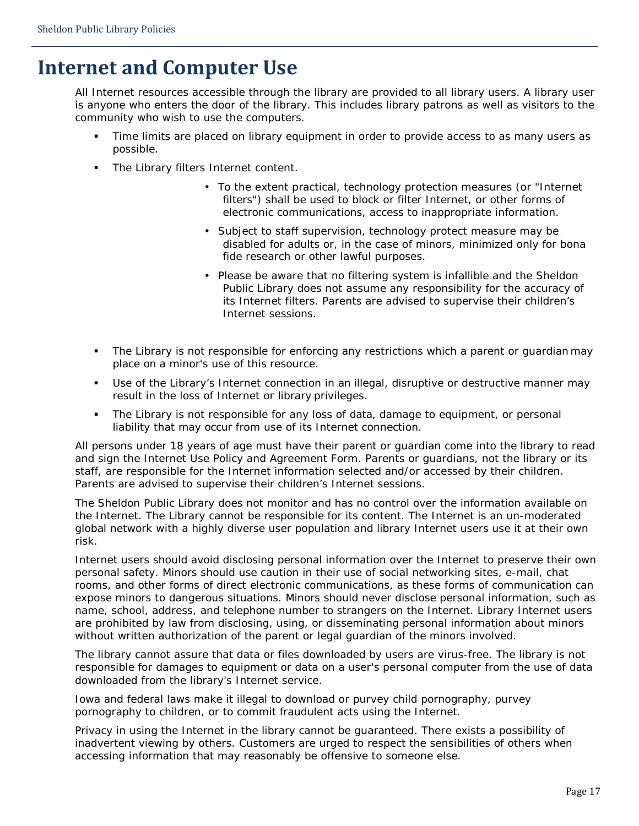## **Internet and Computer Use**

All Internet resources accessible through the library are provided to all library users. A library user is anyone who enters the door of the library. This includes library patrons as well as visitors to the community who wish to use the computers.

- Time limits are placed on library equipment in order to provide access to as many users as possible.
- The Library filters Internet content.
	- To the extent practical, technology protection measures (or "Internet filters") shall be used to block or filter Internet, or other forms of electronic communications, access to inappropriate information.
	- Subject to staff supervision, technology protect measure may be disabled for adults or, in the case of minors, minimized only for bona fide research or other lawful purposes.
	- Please be aware that no filtering system is infallible and the Sheldon Public Library does not assume any responsibility for the accuracy of its Internet filters. Parents are advised to supervise their children's Internet sessions.
- The Library is not responsible for enforcing any restrictions which a parent or guardian may place on a minor's use of this resource.
- Use of the Library's Internet connection in an illegal, disruptive or destructive manner may result in the loss of Internet or library privileges.
- The Library is not responsible for any loss of data, damage to equipment, or personal liability that may occur from use of its Internet connection.

All persons under 18 years of age must have their parent or guardian come into the library to read and sign the Internet Use Policy and Agreement Form. Parents or guardians, not the library or its staff, are responsible for the Internet information selected and/or accessed by their children. Parents are advised to supervise their children's Internet sessions.

The Sheldon Public Library does not monitor and has no control over the information available on the Internet. The Library cannot be responsible for its content. The Internet is an un-moderated global network with a highly diverse user population and library Internet users use it at their own risk.

Internet users should avoid disclosing personal information over the Internet to preserve their own personal safety. Minors should use caution in their use of social networking sites, e-mail, chat rooms, and other forms of direct electronic communications, as these forms of communication can expose minors to dangerous situations. Minors should never disclose personal information, such as name, school, address, and telephone number to strangers on the Internet. Library Internet users are prohibited by law from disclosing, using, or disseminating personal information about minors without written authorization of the parent or legal guardian of the minors involved.

The library cannot assure that data or files downloaded by users are virus-free. The library is not responsible for damages to equipment or data on a user's personal computer from the use of data downloaded from the library's Internet service.

Iowa and federal laws make it illegal to download or purvey child pornography, purvey pornography to children, or to commit fraudulent acts using the Internet.

Privacy in using the Internet in the library cannot be guaranteed. There exists a possibility of inadvertent viewing by others. Customers are urged to respect the sensibilities of others when accessing information that may reasonably be offensive to someone else.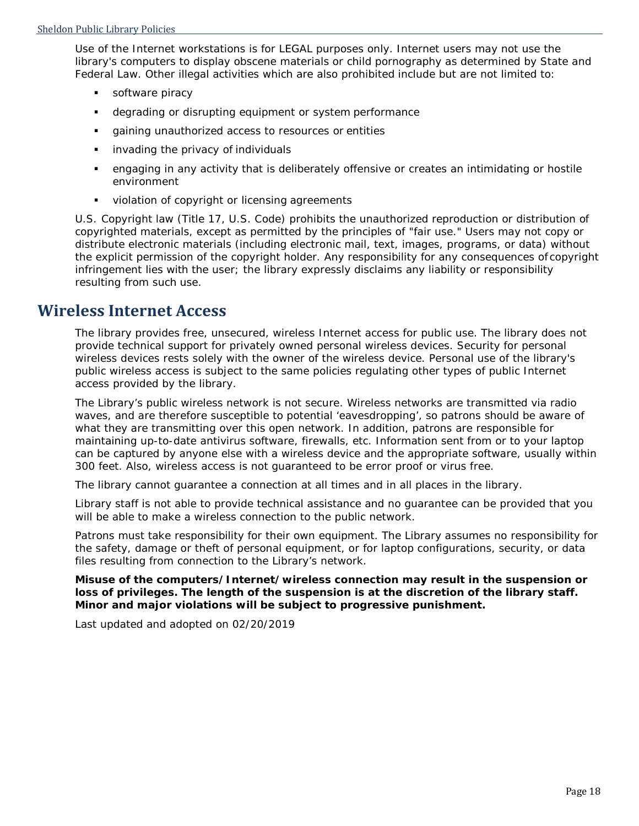Use of the Internet workstations is for LEGAL purposes only. Internet users may not use the library's computers to display obscene materials or child pornography as determined by State and Federal Law. Other illegal activities which are also prohibited include but are not limited to:

- **software piracy**
- degrading or disrupting equipment or system performance
- gaining unauthorized access to resources or entities
- **i** invading the privacy of individuals
- engaging in any activity that is deliberately offensive or creates an intimidating or hostile environment
- **violation of copyright or licensing agreements**

U.S. Copyright law (Title 17, U.S. Code) prohibits the unauthorized reproduction or distribution of copyrighted materials, except as permitted by the principles of "fair use." Users may not copy or distribute electronic materials (including electronic mail, text, images, programs, or data) without the explicit permission of the copyright holder. Any responsibility for any consequences of copyright infringement lies with the user; the library expressly disclaims any liability or responsibility resulting from such use.

### **Wireless Internet Access**

The library provides free, unsecured, wireless Internet access for public use. The library does not provide technical support for privately owned personal wireless devices. Security for personal wireless devices rests solely with the owner of the wireless device. Personal use of the library's public wireless access is subject to the same policies regulating other types of public Internet access provided by the library.

The Library's public wireless network is not secure. Wireless networks are transmitted via radio waves, and are therefore susceptible to potential 'eavesdropping', so patrons should be aware of what they are transmitting over this open network. In addition, patrons are responsible for maintaining up-to-date antivirus software, firewalls, etc. Information sent from or to your laptop can be captured by anyone else with a wireless device and the appropriate software, usually within 300 feet. Also, wireless access is not guaranteed to be error proof or virus free.

The library cannot guarantee a connection at all times and in all places in the library.

Library staff is not able to provide technical assistance and no guarantee can be provided that you will be able to make a wireless connection to the public network.

Patrons must take responsibility for their own equipment. The Library assumes no responsibility for the safety, damage or theft of personal equipment, or for laptop configurations, security, or data files resulting from connection to the Library's network.

**Misuse of the computers/Internet/wireless connection may result in the suspension or loss of privileges. The length of the suspension is at the discretion of the library staff. Minor and major violations will be subject to progressive punishment.**

*Last updated and adopted on 02/20/2019*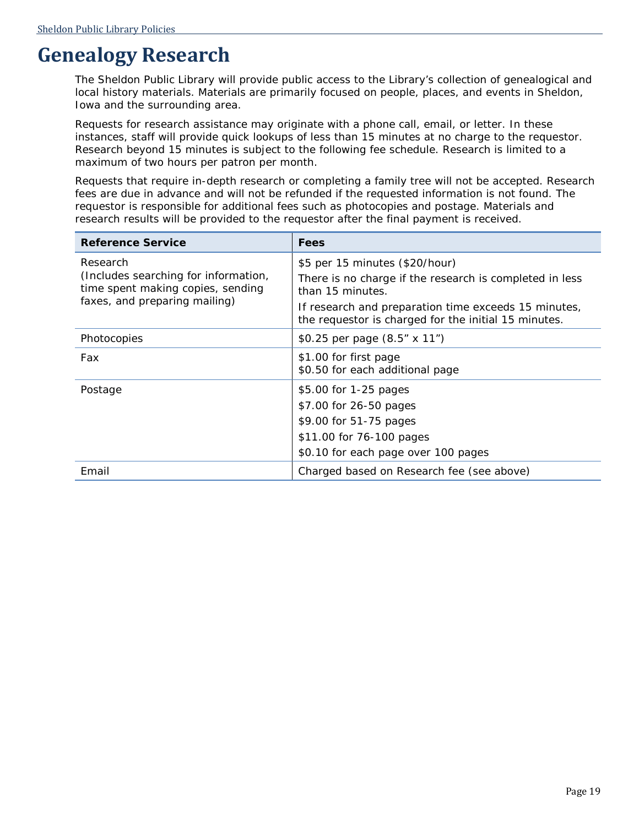## <span id="page-21-0"></span>**Genealogy Research**

The Sheldon Public Library will provide public access to the Library's collection of genealogical and local history materials. Materials are primarily focused on people, places, and events in Sheldon, Iowa and the surrounding area.

Requests for research assistance may originate with a phone call, email, or letter. In these instances, staff will provide quick lookups of less than 15 minutes at no charge to the requestor. Research beyond 15 minutes is subject to the following fee schedule. Research is limited to a maximum of two hours per patron per month.

Requests that require in-depth research or completing a family tree will not be accepted. Research fees are due in advance and will not be refunded if the requested information is not found. The requestor is responsible for additional fees such as photocopies and postage. Materials and research results will be provided to the requestor after the final payment is received.

| <b>Reference Service</b>                                                                                               | <b>Fees</b>                                                                                                   |
|------------------------------------------------------------------------------------------------------------------------|---------------------------------------------------------------------------------------------------------------|
| Research<br>(Includes searching for information,<br>time spent making copies, sending<br>faxes, and preparing mailing) | \$5 per 15 minutes (\$20/hour)<br>There is no charge if the research is completed in less<br>than 15 minutes. |
|                                                                                                                        | If research and preparation time exceeds 15 minutes,<br>the requestor is charged for the initial 15 minutes.  |
| Photocopies                                                                                                            | \$0.25 per page (8.5" x 11")                                                                                  |
| Fax                                                                                                                    | \$1.00 for first page<br>\$0.50 for each additional page                                                      |
| Postage                                                                                                                | \$5.00 for 1-25 pages                                                                                         |
|                                                                                                                        | \$7.00 for 26-50 pages                                                                                        |
|                                                                                                                        | \$9.00 for 51-75 pages                                                                                        |
|                                                                                                                        | \$11.00 for 76-100 pages                                                                                      |
|                                                                                                                        | \$0.10 for each page over 100 pages                                                                           |
| Email                                                                                                                  | Charged based on Research fee (see above)                                                                     |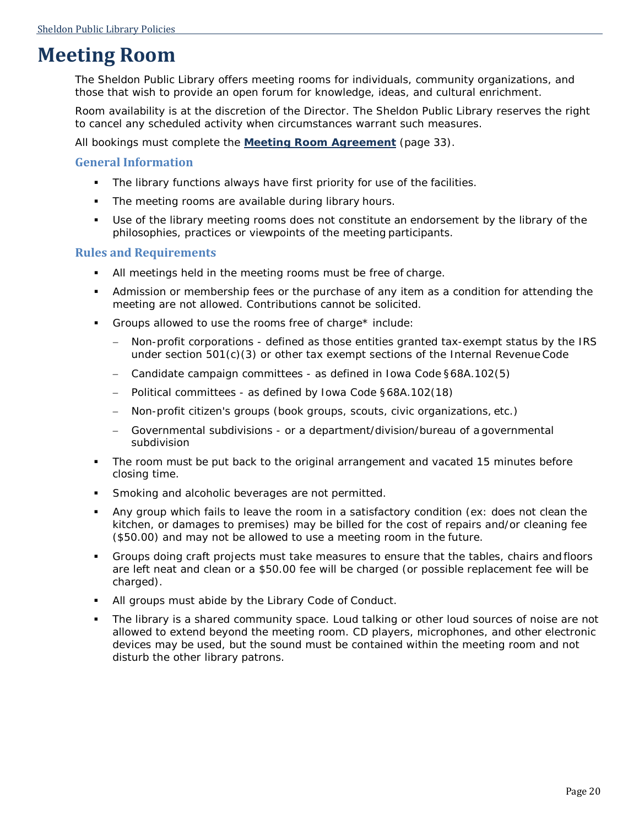## <span id="page-22-0"></span>**Meeting Room**

The Sheldon Public Library offers meeting rooms for individuals, community organizations, and those that wish to provide an open forum for knowledge, ideas, and cultural enrichment.

Room availability is at the discretion of the Director. The Sheldon Public Library reserves the right to cancel any scheduled activity when circumstances warrant such measures.

All bookings must complete the **[Meeting Room Agreement](#page-35-0)** (page [33\)](#page-35-0).

#### **General Information**

- **The library functions always have first priority for use of the facilities.**
- The meeting rooms are available during library hours.
- Use of the library meeting rooms does not constitute an endorsement by the library of the philosophies, practices or viewpoints of the meeting participants.

#### **Rules and Requirements**

- All meetings held in the meeting rooms must be free of charge.
- Admission or membership fees or the purchase of any item as a condition for attending the meeting are not allowed. Contributions cannot be solicited.
- Groups allowed to use the rooms free of charge\* include:
	- − Non-profit corporations defined as those entities granted tax-exempt status by the IRS under section  $501(c)(3)$  or other tax exempt sections of the Internal Revenue Code
	- − Candidate campaign committees as defined in Iowa Code §68A.102(5)
	- − Political committees as defined by Iowa Code §68A.102(18)
	- − Non-profit citizen's groups (book groups, scouts, civic organizations, etc.)
	- Governmental subdivisions or a department/division/bureau of a governmental subdivision
- The room must be put back to the original arrangement and vacated 15 minutes before closing time.
- Smoking and alcoholic beverages are not permitted.
- Any group which fails to leave the room in a satisfactory condition (ex: does not clean the kitchen, or damages to premises) may be billed for the cost of repairs and/or cleaning fee (\$50.00) and may not be allowed to use a meeting room in the future.
- Groups doing craft projects must take measures to ensure that the tables, chairs and floors are left neat and clean or a \$50.00 fee will be charged (or possible replacement fee will be charged).
- All groups must abide by the Library Code of Conduct.
- The library is a shared community space. Loud talking or other loud sources of noise are not allowed to extend beyond the meeting room. CD players, microphones, and other electronic devices may be used, but the sound must be contained within the meeting room and not disturb the other library patrons.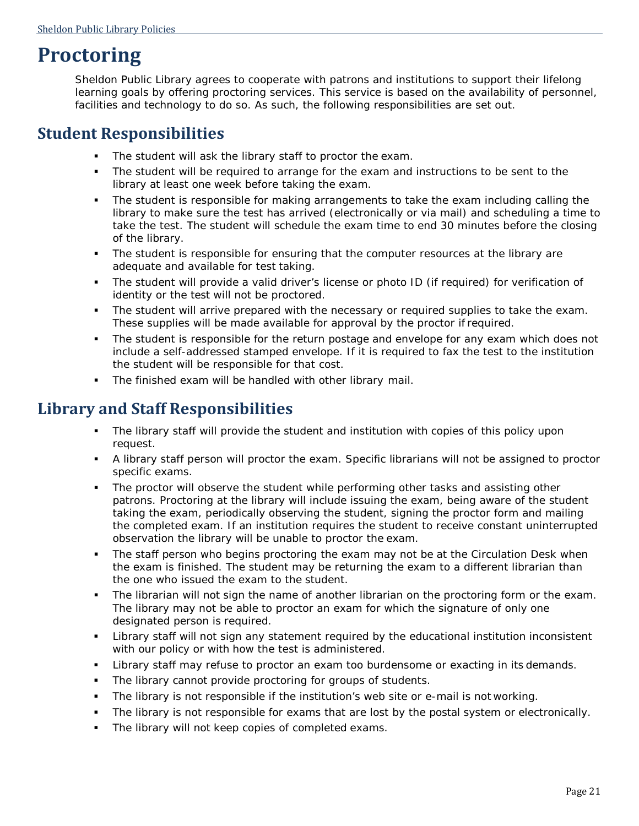## <span id="page-23-0"></span>**Proctoring**

Sheldon Public Library agrees to cooperate with patrons and institutions to support their lifelong learning goals by offering proctoring services. This service is based on the availability of personnel, facilities and technology to do so. As such, the following responsibilities are set out.

### <span id="page-23-1"></span>**Student Responsibilities**

- The student will ask the library staff to proctor the exam.
- The student will be required to arrange for the exam and instructions to be sent to the library at least one week before taking the exam.
- The student is responsible for making arrangements to take the exam including calling the library to make sure the test has arrived (electronically or via mail) and scheduling a time to take the test. The student will schedule the exam time to end 30 minutes before the closing of the library.
- The student is responsible for ensuring that the computer resources at the library are adequate and available for test taking.
- The student will provide a valid driver's license or photo ID (if required) for verification of identity or the test will not be proctored.
- The student will arrive prepared with the necessary or required supplies to take the exam. These supplies will be made available for approval by the proctor if required.
- The student is responsible for the return postage and envelope for any exam which does not include a self-addressed stamped envelope. If it is required to fax the test to the institution the student will be responsible for that cost.
- **The finished exam will be handled with other library mail.**

### <span id="page-23-2"></span>**Library and Staff Responsibilities**

- The library staff will provide the student and institution with copies of this policy upon request.
- A library staff person will proctor the exam. Specific librarians will not be assigned to proctor specific exams.
- The proctor will observe the student while performing other tasks and assisting other patrons. Proctoring at the library will include issuing the exam, being aware of the student taking the exam, periodically observing the student, signing the proctor form and mailing the completed exam. If an institution requires the student to receive constant uninterrupted observation the library will be unable to proctor the exam.
- **The staff person who begins proctoring the exam may not be at the Circulation Desk when** the exam is finished. The student may be returning the exam to a different librarian than the one who issued the exam to the student.
- The librarian will not sign the name of another librarian on the proctoring form or the exam. The library may not be able to proctor an exam for which the signature of only one designated person is required.
- Library staff will not sign any statement required by the educational institution inconsistent with our policy or with how the test is administered.
- **EXA** Library staff may refuse to proctor an exam too burdensome or exacting in its demands.
- **The library cannot provide proctoring for groups of students.**
- The library is not responsible if the institution's web site or e-mail is not working.
- The library is not responsible for exams that are lost by the postal system or electronically.
- **The library will not keep copies of completed exams.**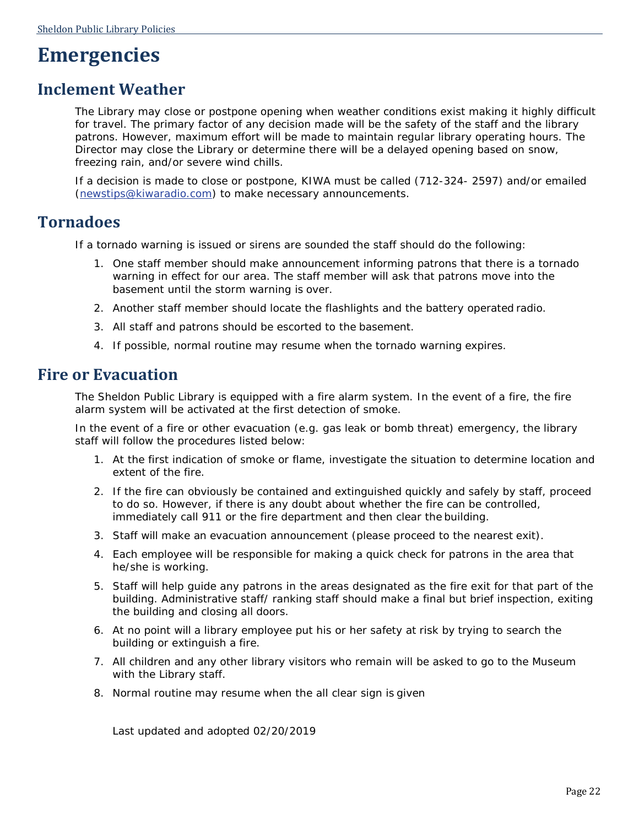## <span id="page-24-0"></span>**Emergencies**

### <span id="page-24-1"></span>**Inclement Weather**

The Library may close or postpone opening when weather conditions exist making it highly difficult for travel. The primary factor of any decision made will be the safety of the staff and the library patrons. However, maximum effort will be made to maintain regular library operating hours. The Director may close the Library or determine there will be a delayed opening based on snow, freezing rain, and/or severe wind chills.

If a decision is made to close or postpone, KIWA must be called (712-324- 2597) and/or emailed [\(newstips@kiwaradio.com\)](mailto:newstips@kiwaradio.com) to make necessary announcements.

### <span id="page-24-2"></span>**Tornadoes**

If a tornado warning is issued or sirens are sounded the staff should do the following:

- 1. One staff member should make announcement informing patrons that there is a tornado warning in effect for our area. The staff member will ask that patrons move into the basement until the storm warning is over.
- 2. Another staff member should locate the flashlights and the battery operated radio.
- 3. All staff and patrons should be escorted to the basement.
- 4. If possible, normal routine may resume when the tornado warning expires.

### <span id="page-24-3"></span>**Fire or Evacuation**

The Sheldon Public Library is equipped with a fire alarm system. In the event of a fire, the fire alarm system will be activated at the first detection of smoke.

In the event of a fire or other evacuation (e.g. gas leak or bomb threat) emergency, the library staff will follow the procedures listed below:

- 1. At the first indication of smoke or flame, investigate the situation to determine location and extent of the fire.
- 2. If the fire can obviously be contained and extinguished quickly and safely by staff, proceed to do so. However, if there is any doubt about whether the fire can be controlled, immediately call 911 or the fire department and then clear the building.
- 3. Staff will make an evacuation announcement (please proceed to the nearest exit).
- 4. Each employee will be responsible for making a quick check for patrons in the area that he/she is working.
- 5. Staff will help guide any patrons in the areas designated as the fire exit for that part of the building. Administrative staff/ ranking staff should make a final but brief inspection, exiting the building and closing all doors.
- 6. At no point will a library employee put his or her safety at risk by trying to search the building or extinguish a fire.
- 7. All children and any other library visitors who remain will be asked to go to the Museum with the Library staff.
- <span id="page-24-4"></span>8. Normal routine may resume when the all clear sign is given

Last updated and adopted 02/20/2019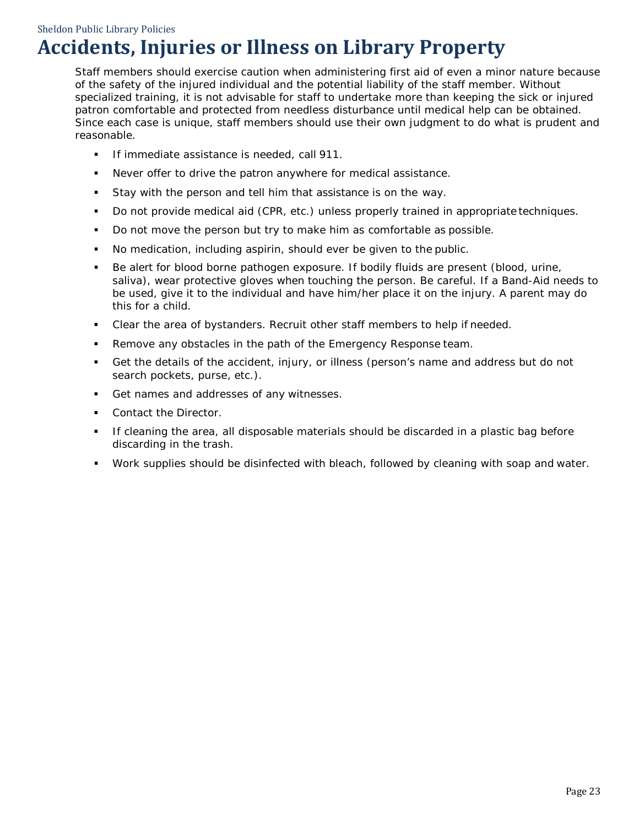Sheldon Public Library Policies

## **Accidents, Injuries or Illness on Library Property**

Staff members should exercise caution when administering first aid of even a minor nature because of the safety of the injured individual and the potential liability of the staff member. Without specialized training, it is not advisable for staff to undertake more than keeping the sick or injured patron comfortable and protected from needless disturbance until medical help can be obtained. Since each case is unique, staff members should use their own judgment to do what is prudent and reasonable.

- **If immediate assistance is needed, call 911.**
- Never offer to drive the patron anywhere for medical assistance.
- Stay with the person and tell him that assistance is on the way.
- Do not provide medical aid (CPR, etc.) unless properly trained in appropriate techniques.
- Do not move the person but try to make him as comfortable as possible.
- No medication, including aspirin, should ever be given to the public.
- Be alert for blood borne pathogen exposure. If bodily fluids are present (blood, urine, saliva), wear protective gloves when touching the person. Be careful. If a Band-Aid needs to be used, give it to the individual and have him/her place it on the injury. A parent may do this for a child.
- Clear the area of bystanders. Recruit other staff members to help if needed.
- Remove any obstacles in the path of the Emergency Response team.
- Get the details of the accident, injury, or illness (person's name and address but do not search pockets, purse, etc.).
- Get names and addresses of any witnesses.
- **Contact the Director.**
- If cleaning the area, all disposable materials should be discarded in a plastic bag before discarding in the trash.
- Work supplies should be disinfected with bleach, followed by cleaning with soap and water.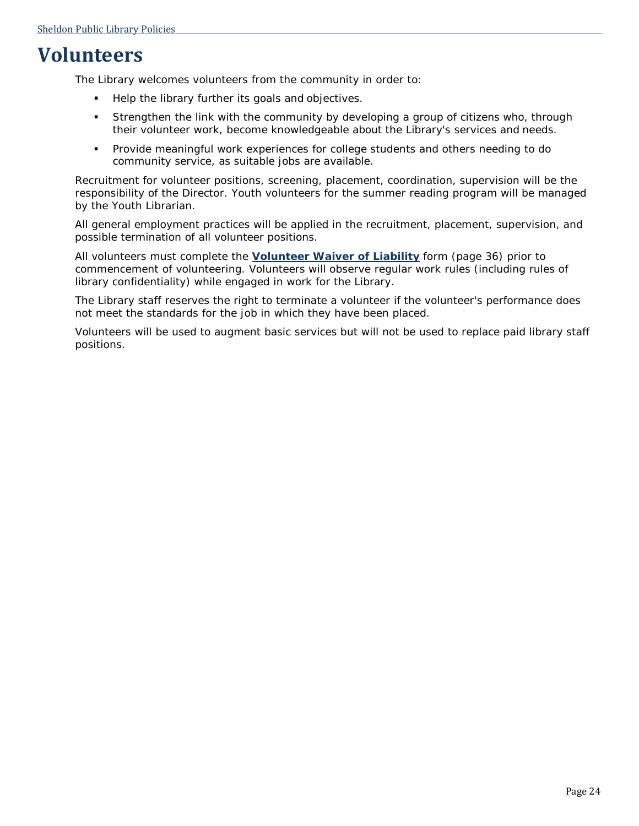## <span id="page-26-0"></span>**Volunteers**

The Library welcomes volunteers from the community in order to:

- Help the library further its goals and objectives.
- Strengthen the link with the community by developing a group of citizens who, through their volunteer work, become knowledgeable about the Library's services and needs.
- Provide meaningful work experiences for college students and others needing to do community service, as suitable jobs are available.

Recruitment for volunteer positions, screening, placement, coordination, supervision will be the responsibility of the Director. Youth volunteers for the summer reading program will be managed by the Youth Librarian.

All general employment practices will be applied in the recruitment, placement, supervision, and possible termination of all volunteer positions.

All volunteers must complete the **[Volunteer Waiver of Liability](#page-38-0)** form (page [36\)](#page-38-0) prior to commencement of volunteering. Volunteers will observe regular work rules (including rules of library confidentiality) while engaged in work for the Library.

The Library staff reserves the right to terminate a volunteer if the volunteer's performance does not meet the standards for the job in which they have been placed.

Volunteers will be used to augment basic services but will not be used to replace paid library staff positions.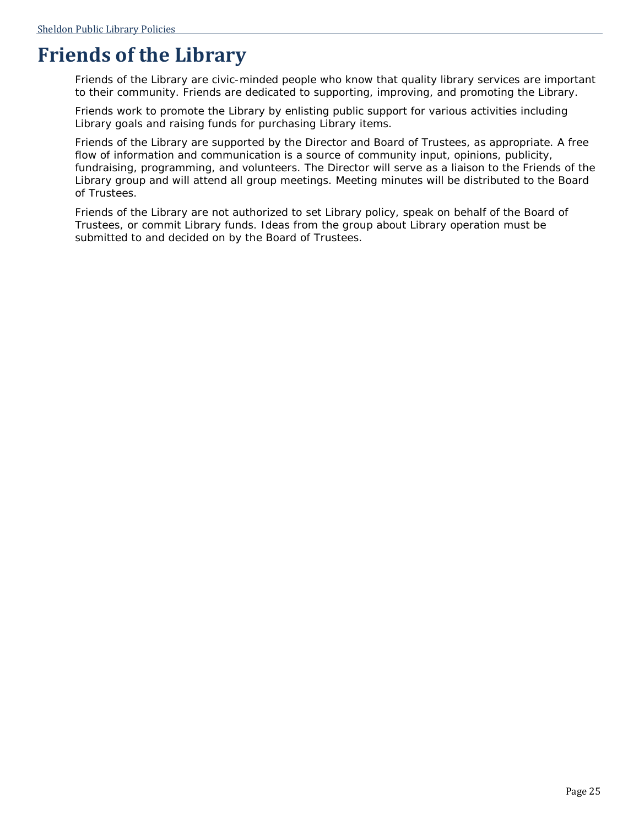## <span id="page-27-0"></span>**Friends of the Library**

Friends of the Library are civic-minded people who know that quality library services are important to their community. Friends are dedicated to supporting, improving, and promoting the Library.

Friends work to promote the Library by enlisting public support for various activities including Library goals and raising funds for purchasing Library items.

Friends of the Library are supported by the Director and Board of Trustees, as appropriate. A free flow of information and communication is a source of community input, opinions, publicity, fundraising, programming, and volunteers. The Director will serve as a liaison to the Friends of the Library group and will attend all group meetings. Meeting minutes will be distributed to the Board of Trustees.

Friends of the Library are not authorized to set Library policy, speak on behalf of the Board of Trustees, or commit Library funds. Ideas from the group about Library operation must be submitted to and decided on by the Board of Trustees.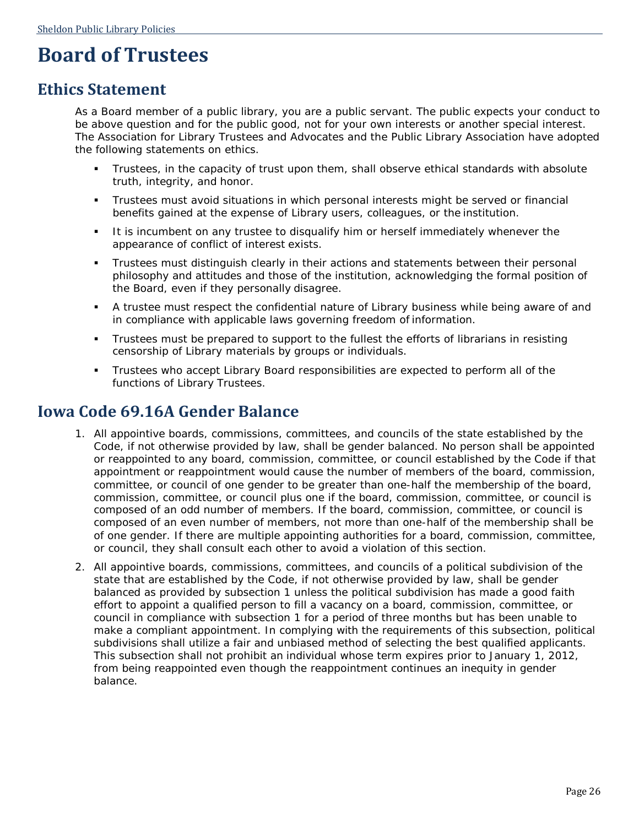## <span id="page-28-0"></span>**Board of Trustees**

### <span id="page-28-1"></span>**Ethics Statement**

As a Board member of a public library, you are a public servant. The public expects your conduct to be above question and for the public good, not for your own interests or another special interest. The Association for Library Trustees and Advocates and the Public Library Association have adopted the following statements on ethics.

- Trustees, in the capacity of trust upon them, shall observe ethical standards with absolute truth, integrity, and honor.
- Trustees must avoid situations in which personal interests might be served or financial benefits gained at the expense of Library users, colleagues, or the institution.
- It is incumbent on any trustee to disqualify him or herself immediately whenever the appearance of conflict of interest exists.
- Trustees must distinguish clearly in their actions and statements between their personal philosophy and attitudes and those of the institution, acknowledging the formal position of the Board, even if they personally disagree.
- A trustee must respect the confidential nature of Library business while being aware of and in compliance with applicable laws governing freedom of information.
- Trustees must be prepared to support to the fullest the efforts of librarians in resisting censorship of Library materials by groups or individuals.
- Trustees who accept Library Board responsibilities are expected to perform all of the functions of Library Trustees.

### <span id="page-28-2"></span>**Iowa Code 69.16A Gender Balance**

- 1. All appointive boards, commissions, committees, and councils of the state established by the Code, if not otherwise provided by law, shall be gender balanced. No person shall be appointed or reappointed to any board, commission, committee, or council established by the Code if that appointment or reappointment would cause the number of members of the board, commission, committee, or council of one gender to be greater than one-half the membership of the board, commission, committee, or council plus one if the board, commission, committee, or council is composed of an odd number of members. If the board, commission, committee, or council is composed of an even number of members, not more than one-half of the membership shall be of one gender. If there are multiple appointing authorities for a board, commission, committee, or council, they shall consult each other to avoid a violation of this section.
- 2. All appointive boards, commissions, committees, and councils of a political subdivision of the state that are established by the Code, if not otherwise provided by law, shall be gender balanced as provided by subsection 1 unless the political subdivision has made a good faith effort to appoint a qualified person to fill a vacancy on a board, commission, committee, or council in compliance with subsection 1 for a period of three months but has been unable to make a compliant appointment. In complying with the requirements of this subsection, political subdivisions shall utilize a fair and unbiased method of selecting the best qualified applicants. This subsection shall not prohibit an individual whose term expires prior to January 1, 2012, from being reappointed even though the reappointment continues an inequity in gender balance.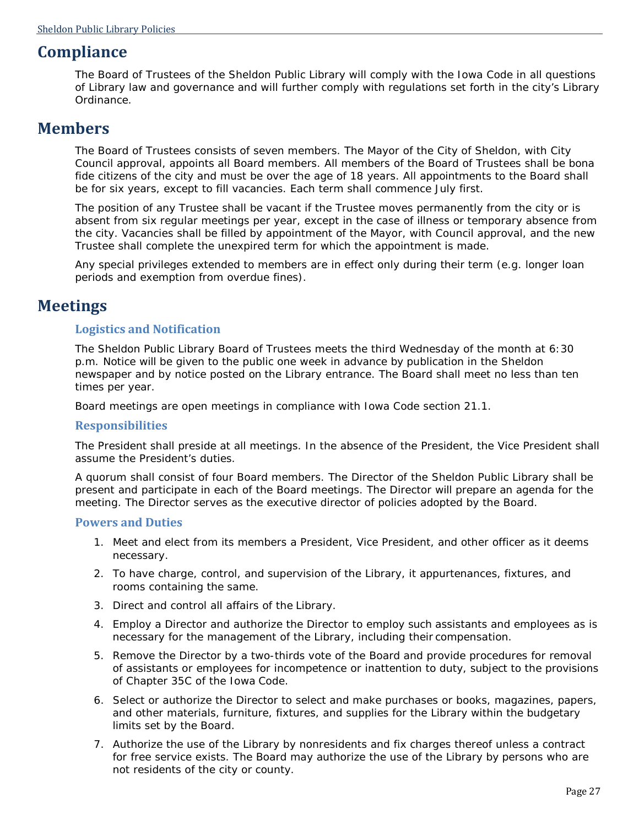### <span id="page-29-0"></span>**Compliance**

The Board of Trustees of the Sheldon Public Library will comply with the Iowa Code in all questions of Library law and governance and will further comply with regulations set forth in the city's Library Ordinance.

### <span id="page-29-1"></span>**Members**

The Board of Trustees consists of seven members. The Mayor of the City of Sheldon, with City Council approval, appoints all Board members. All members of the Board of Trustees shall be bona fide citizens of the city and must be over the age of 18 years. All appointments to the Board shall be for six years, except to fill vacancies. Each term shall commence July first.

The position of any Trustee shall be vacant if the Trustee moves permanently from the city or is absent from six regular meetings per year, except in the case of illness or temporary absence from the city. Vacancies shall be filled by appointment of the Mayor, with Council approval, and the new Trustee shall complete the unexpired term for which the appointment is made.

Any special privileges extended to members are in effect only during their term (e.g. longer loan periods and exemption from overdue fines).

### <span id="page-29-2"></span>**Meetings**

#### **Logistics and Notification**

The Sheldon Public Library Board of Trustees meets the third Wednesday of the month at 6:30 p.m. Notice will be given to the public one week in advance by publication in the Sheldon newspaper and by notice posted on the Library entrance. The Board shall meet no less than ten times per year.

Board meetings are open meetings in compliance with Iowa Code section 21.1.

#### **Responsibilities**

The President shall preside at all meetings. In the absence of the President, the Vice President shall assume the President's duties.

A quorum shall consist of four Board members. The Director of the Sheldon Public Library shall be present and participate in each of the Board meetings. The Director will prepare an agenda for the meeting. The Director serves as the executive director of policies adopted by the Board.

#### **Powers and Duties**

- 1. Meet and elect from its members a President, Vice President, and other officer as it deems necessary.
- 2. To have charge, control, and supervision of the Library, it appurtenances, fixtures, and rooms containing the same.
- 3. Direct and control all affairs of the Library.
- 4. Employ a Director and authorize the Director to employ such assistants and employees as is necessary for the management of the Library, including their compensation.
- 5. Remove the Director by a two-thirds vote of the Board and provide procedures for removal of assistants or employees for incompetence or inattention to duty, subject to the provisions of Chapter 35C of the Iowa Code.
- 6. Select or authorize the Director to select and make purchases or books, magazines, papers, and other materials, furniture, fixtures, and supplies for the Library within the budgetary limits set by the Board.
- 7. Authorize the use of the Library by nonresidents and fix charges thereof unless a contract for free service exists. The Board may authorize the use of the Library by persons who are not residents of the city or county.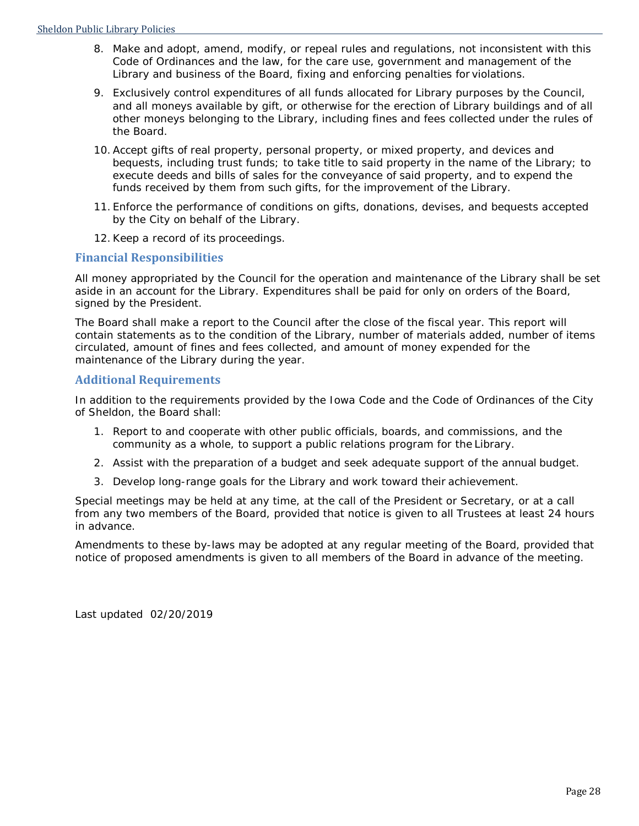- 8. Make and adopt, amend, modify, or repeal rules and regulations, not inconsistent with this Code of Ordinances and the law, for the care use, government and management of the Library and business of the Board, fixing and enforcing penalties for violations.
- 9. Exclusively control expenditures of all funds allocated for Library purposes by the Council, and all moneys available by gift, or otherwise for the erection of Library buildings and of all other moneys belonging to the Library, including fines and fees collected under the rules of the Board.
- 10. Accept gifts of real property, personal property, or mixed property, and devices and bequests, including trust funds; to take title to said property in the name of the Library; to execute deeds and bills of sales for the conveyance of said property, and to expend the funds received by them from such gifts, for the improvement of the Library.
- 11. Enforce the performance of conditions on gifts, donations, devises, and bequests accepted by the City on behalf of the Library.
- 12. Keep a record of its proceedings.

#### **Financial Responsibilities**

All money appropriated by the Council for the operation and maintenance of the Library shall be set aside in an account for the Library. Expenditures shall be paid for only on orders of the Board, signed by the President.

The Board shall make a report to the Council after the close of the fiscal year. This report will contain statements as to the condition of the Library, number of materials added, number of items circulated, amount of fines and fees collected, and amount of money expended for the maintenance of the Library during the year.

#### **Additional Requirements**

In addition to the requirements provided by the Iowa Code and the Code of Ordinances of the City of Sheldon, the Board shall:

- 1. Report to and cooperate with other public officials, boards, and commissions, and the community as a whole, to support a public relations program for the Library.
- 2. Assist with the preparation of a budget and seek adequate support of the annual budget.
- 3. Develop long-range goals for the Library and work toward their achievement.

Special meetings may be held at any time, at the call of the President or Secretary, or at a call from any two members of the Board, provided that notice is given to all Trustees at least 24 hours in advance.

Amendments to these by-laws may be adopted at any regular meeting of the Board, provided that notice of proposed amendments is given to all members of the Board in advance of the meeting.

Last updated 02/20/2019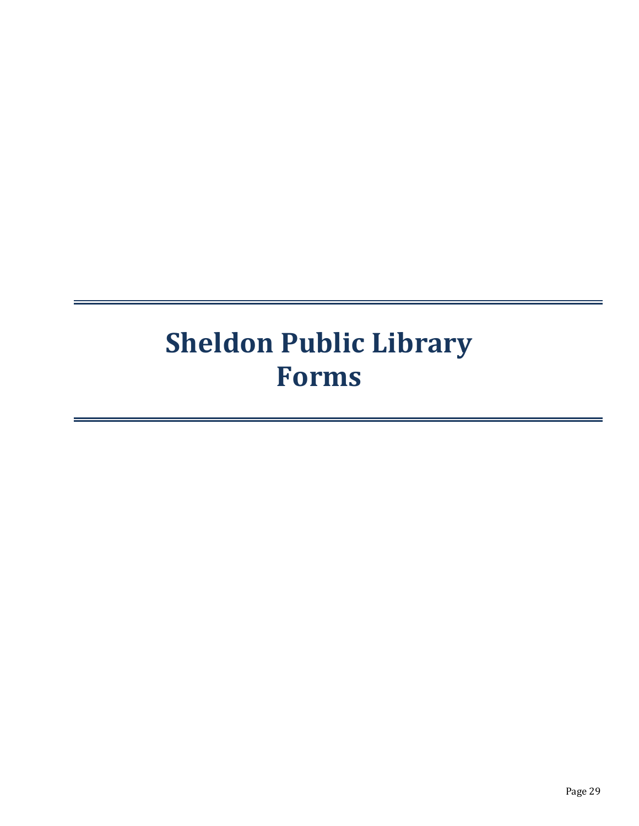# <span id="page-31-0"></span>**Sheldon Public Library Forms**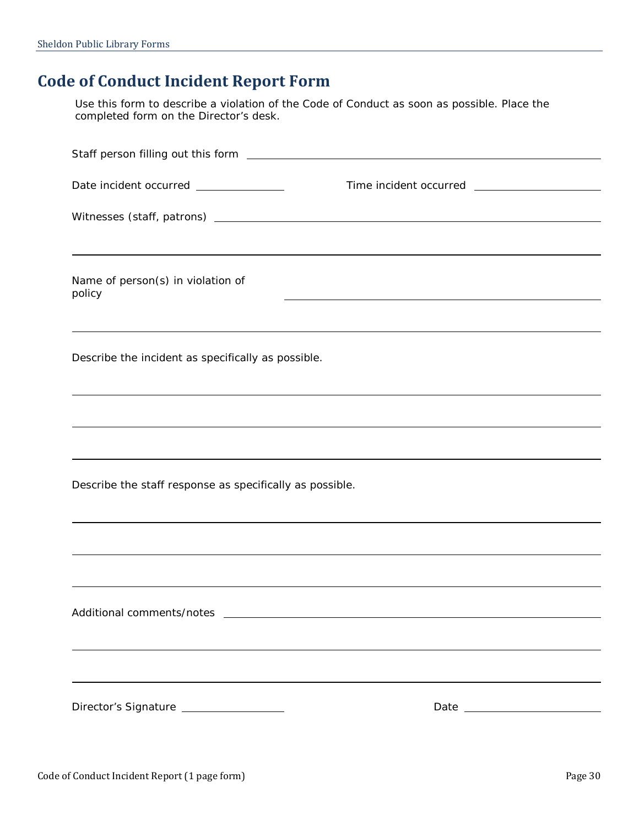### <span id="page-32-0"></span>**Code of Conduct Incident Report Form**

Use this form to describe a violation of the Code of Conduct as soon as possible. Place the completed form on the Director's desk.

| Date incident occurred ______________                                                                                                              |  |
|----------------------------------------------------------------------------------------------------------------------------------------------------|--|
|                                                                                                                                                    |  |
|                                                                                                                                                    |  |
| Name of person(s) in violation of<br>policy                                                                                                        |  |
|                                                                                                                                                    |  |
| Describe the incident as specifically as possible.                                                                                                 |  |
|                                                                                                                                                    |  |
|                                                                                                                                                    |  |
| Describe the staff response as specifically as possible.                                                                                           |  |
|                                                                                                                                                    |  |
|                                                                                                                                                    |  |
| Additional comments/notes<br><u>and the state of the state of the state of the state of the state of the state of the state of the state of th</u> |  |
|                                                                                                                                                    |  |
|                                                                                                                                                    |  |
| Director's Signature _________________                                                                                                             |  |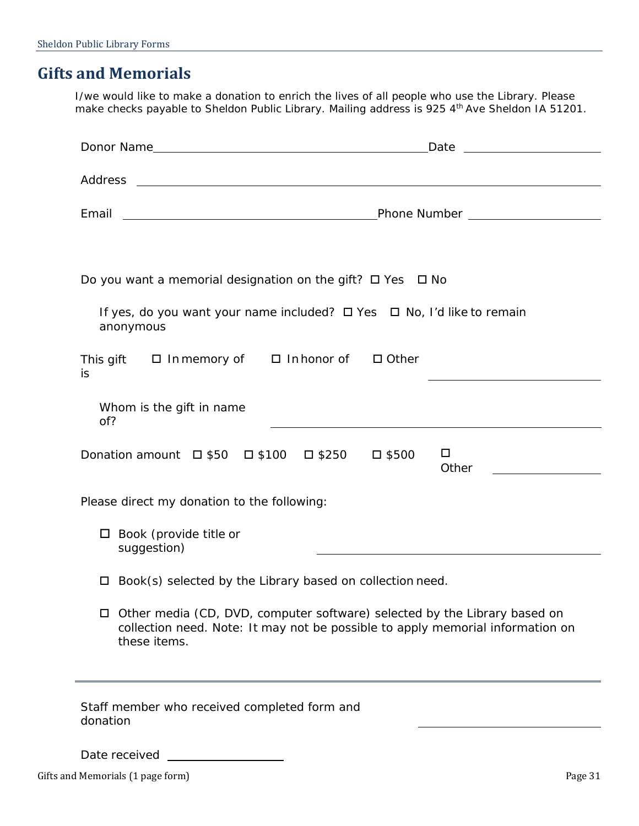### <span id="page-33-0"></span>**Gifts and Memorials**

I/we would like to make a donation to enrich the lives of all people who use the Library. Please make checks payable to *Sheldon Public Library*. Mailing address is 925 4th Ave Sheldon IA 51201.

| Do you want a memorial designation on the gift? $\Box$ Yes $\Box$ No                                                                                                               |                 |
|------------------------------------------------------------------------------------------------------------------------------------------------------------------------------------|-----------------|
| If yes, do you want your name included? □ Yes □ No, I'd like to remain<br>anonymous                                                                                                |                 |
| This gift □ In memory of □ In honor of □ Other<br>is                                                                                                                               |                 |
| Whom is the gift in name<br>of?                                                                                                                                                    |                 |
| Donation amount $\Box$ \$50 $\Box$ \$100 $\Box$ \$250 $\Box$ \$500                                                                                                                 | $\Box$<br>Other |
| Please direct my donation to the following:                                                                                                                                        |                 |
| $\Box$ Book (provide title or<br>suggestion)                                                                                                                                       |                 |
| Book(s) selected by the Library based on collection need.                                                                                                                          |                 |
| $\Box$ Other media (CD, DVD, computer software) selected by the Library based on<br>collection need. Note: It may not be possible to apply memorial information on<br>these items. |                 |
| Staff member who received completed form and<br>donation                                                                                                                           |                 |
| Date received                                                                                                                                                                      |                 |

Gifts and Memorials (1 page form) example and Memorials (1 page 31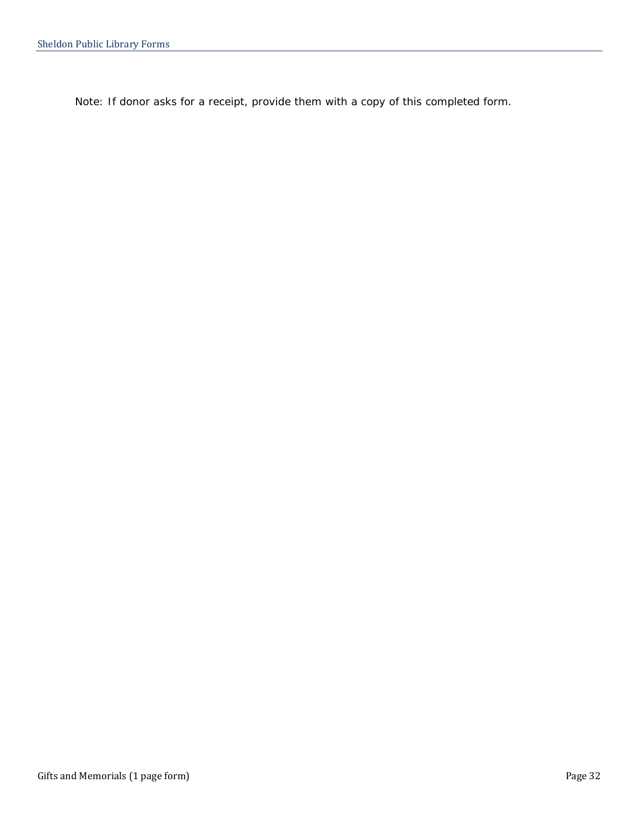*Note: If donor asks for a receipt, provide them with a copy of this completed form.*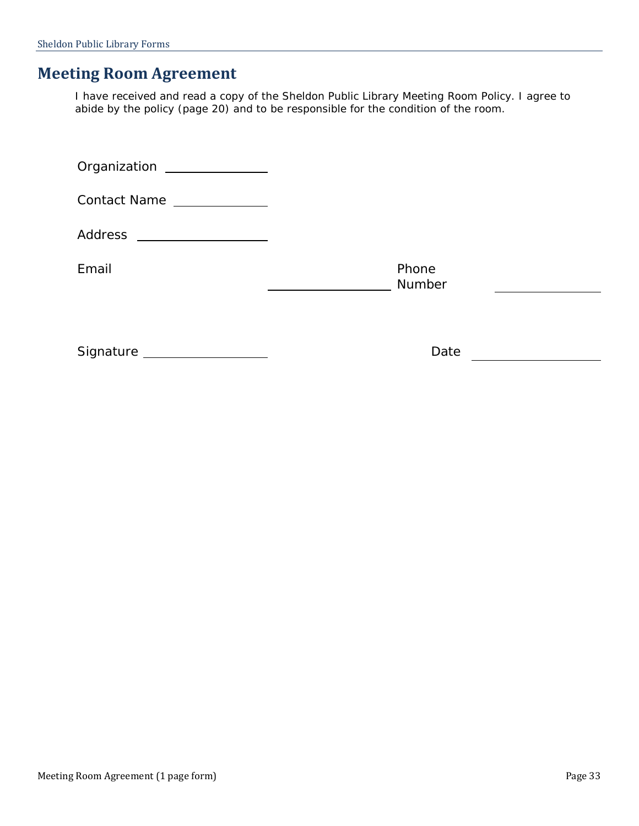### <span id="page-35-0"></span>**Meeting Room Agreement**

I have received and read a copy of the Sheldon Public Library Meeting Room Policy. I agree to abide by the policy (page [20\)](#page-22-0) and to be responsible for the condition of the room.

| Organization _______________                                                                                           |  |
|------------------------------------------------------------------------------------------------------------------------|--|
| Contact Name _____________                                                                                             |  |
| <u> 1989 - Johann Stoff, deutscher Stoffen und der Stoffen und der Stoffen und der Stoffen und der Stoffen und der</u> |  |
| Phone<br>Number                                                                                                        |  |
|                                                                                                                        |  |
| Signature Manuscript Signature<br>Date                                                                                 |  |
|                                                                                                                        |  |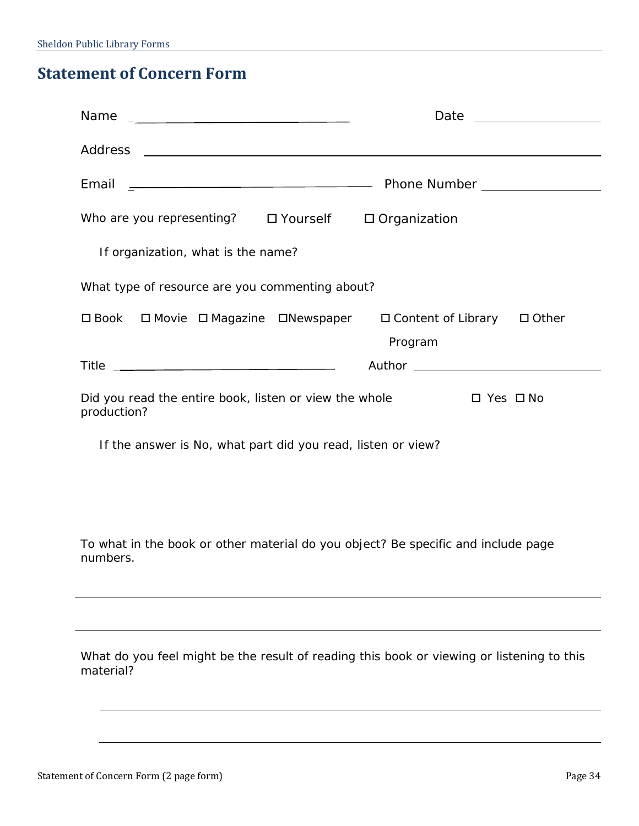## <span id="page-36-0"></span>**Statement of Concern Form**

|                                                                       | Date                                                                          | <u> 1989 - Jan Stein Stein Stein Stein Stein Stein Stein Stein Stein Stein Stein Stein Stein Stein Stein Stein S</u> |
|-----------------------------------------------------------------------|-------------------------------------------------------------------------------|----------------------------------------------------------------------------------------------------------------------|
|                                                                       |                                                                               |                                                                                                                      |
|                                                                       |                                                                               |                                                                                                                      |
| Who are you representing? $\Box$ Yourself $\Box$ Organization         |                                                                               |                                                                                                                      |
| If organization, what is the name?                                    |                                                                               |                                                                                                                      |
| What type of resource are you commenting about?                       |                                                                               |                                                                                                                      |
|                                                                       | □ Book □ Movie □ Magazine □ Newspaper □ Content of Library □ Other<br>Program |                                                                                                                      |
|                                                                       |                                                                               |                                                                                                                      |
| Did you read the entire book, listen or view the whole<br>production? | $\Box$ Yes $\Box$ No                                                          |                                                                                                                      |

If the answer is No, what part did you read, listen or view?

To what in the book or other material do you object? Be specific and include page numbers.

What do you feel might be the result of reading this book or viewing or listening to this material?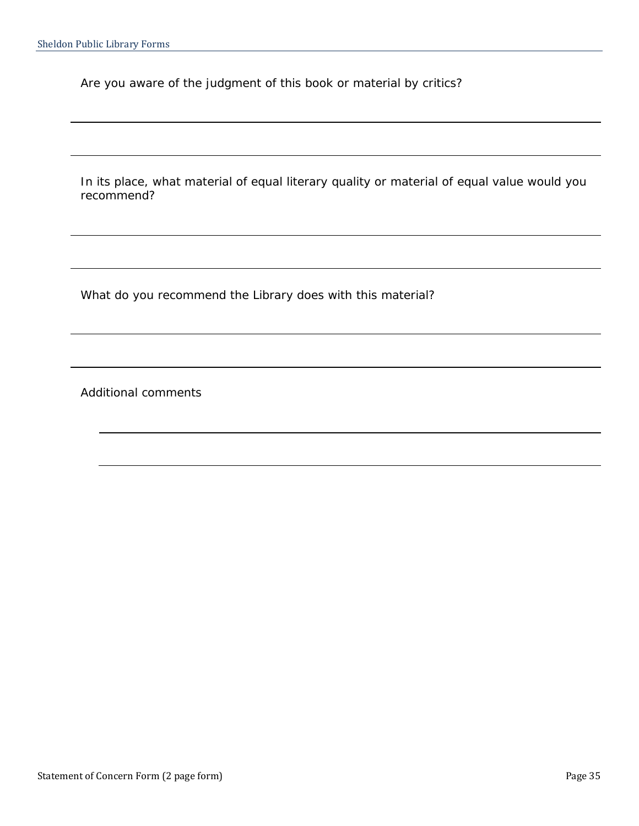Are you aware of the judgment of this book or material by critics?

In its place, what material of equal literary quality or material of equal value would you recommend?

What do you recommend the Library does with this material?

Additional comments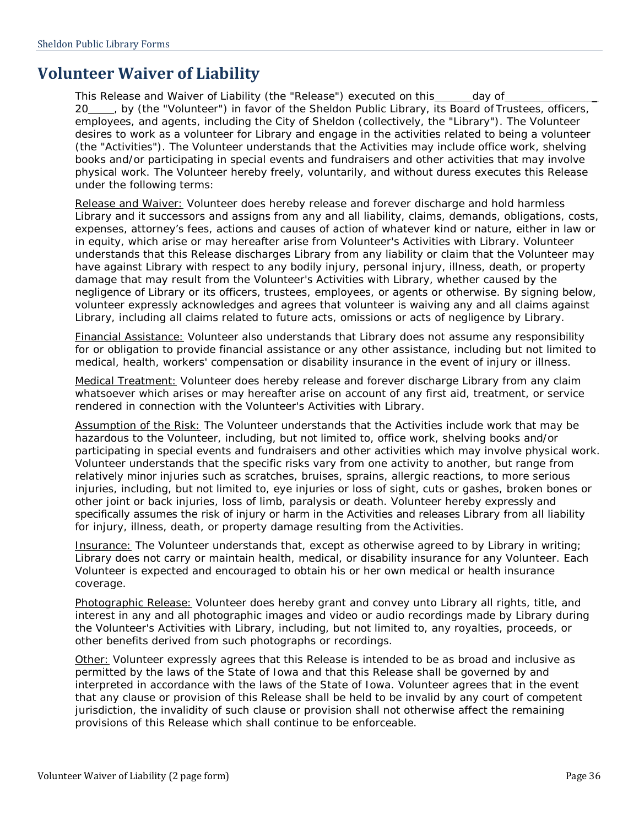### <span id="page-38-0"></span>**Volunteer Waiver of Liability**

This Release and Waiver of Liability (the "Release") executed on this \_\_\_\_\_\_ day of 20\_\_\_, by (the "Volunteer") in favor of the Sheldon Public Library, its Board of Trustees, officers, employees, and agents, including the City of Sheldon (collectively, the "Library"). The Volunteer desires to work as a volunteer for Library and engage in the activities related to being a volunteer (the "Activities"). The Volunteer understands that the Activities may include office work, shelving books and/or participating in special events and fundraisers and other activities that may involve physical work. The Volunteer hereby freely, voluntarily, and without duress executes this Release under the following terms:

Release and Waiver: Volunteer does hereby release and forever discharge and hold harmless Library and it successors and assigns from any and all liability, claims, demands, obligations, costs, expenses, attorney's fees, actions and causes of action of whatever kind or nature, either in law or in equity, which arise or may hereafter arise from Volunteer's Activities with Library. Volunteer understands that this Release discharges Library from any liability or claim that the Volunteer may have against Library with respect to any bodily injury, personal injury, illness, death, or property damage that may result from the Volunteer's Activities with Library, whether caused by the negligence of Library or its officers, trustees, employees, or agents or otherwise. By signing below, volunteer expressly acknowledges and agrees that volunteer is waiving any and all claims against Library, including all claims related to future acts, omissions or acts of negligence by Library.

Financial Assistance: Volunteer also understands that Library does not assume any responsibility for or obligation to provide financial assistance or any other assistance, including but not limited to medical, health, workers' compensation or disability insurance in the event of injury or illness.

Medical Treatment: Volunteer does hereby release and forever discharge Library from any claim whatsoever which arises or may hereafter arise on account of any first aid, treatment, or service rendered in connection with the Volunteer's Activities with Library.

Assumption of the Risk: The Volunteer understands that the Activities include work that may be hazardous to the Volunteer, including, but not limited to, office work, shelving books and/or participating in special events and fundraisers and other activities which may involve physical work. Volunteer understands that the specific risks vary from one activity to another, but range from relatively minor injuries such as scratches, bruises, sprains, allergic reactions, to more serious injuries, including, but not limited to, eye injuries or loss of sight, cuts or gashes, broken bones or other joint or back injuries, loss of limb, paralysis or death. Volunteer hereby expressly and specifically assumes the risk of injury or harm in the Activities and releases Library from all liability for injury, illness, death, or property damage resulting from the Activities.

Insurance: The Volunteer understands that, except as otherwise agreed to by Library in writing; Library does not carry or maintain health, medical, or disability insurance for any Volunteer. Each Volunteer is expected and encouraged to obtain his or her own medical or health insurance coverage.

Photographic Release: Volunteer does hereby grant and convey unto Library all rights, title, and interest in any and all photographic images and video or audio recordings made by Library during the Volunteer's Activities with Library, including, but not limited to, any royalties, proceeds, or other benefits derived from such photographs or recordings.

Other: Volunteer expressly agrees that this Release is intended to be as broad and inclusive as permitted by the laws of the State of Iowa and that this Release shall be governed by and interpreted in accordance with the laws of the State of Iowa. Volunteer agrees that in the event that any clause or provision of this Release shall be held to be invalid by any court of competent jurisdiction, the invalidity of such clause or provision shall not otherwise affect the remaining provisions of this Release which shall continue to be enforceable.